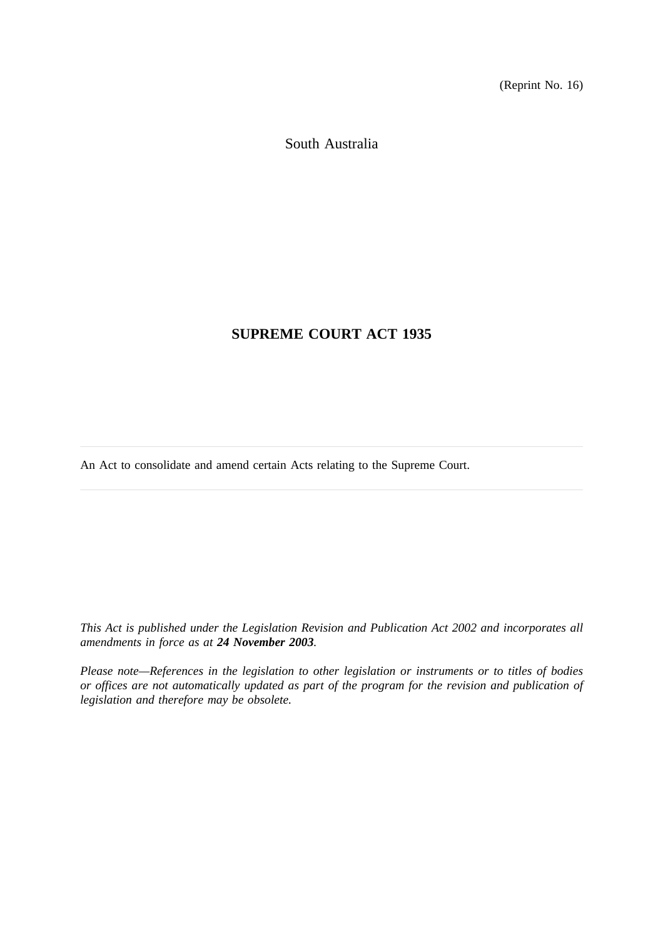(Reprint No. 16)

South Australia

# **SUPREME COURT ACT 1935**

An Act to consolidate and amend certain Acts relating to the Supreme Court.

*This Act is published under the Legislation Revision and Publication Act 2002 and incorporates all amendments in force as at 24 November 2003.*

*Please note—References in the legislation to other legislation or instruments or to titles of bodies or offices are not automatically updated as part of the program for the revision and publication of legislation and therefore may be obsolete.*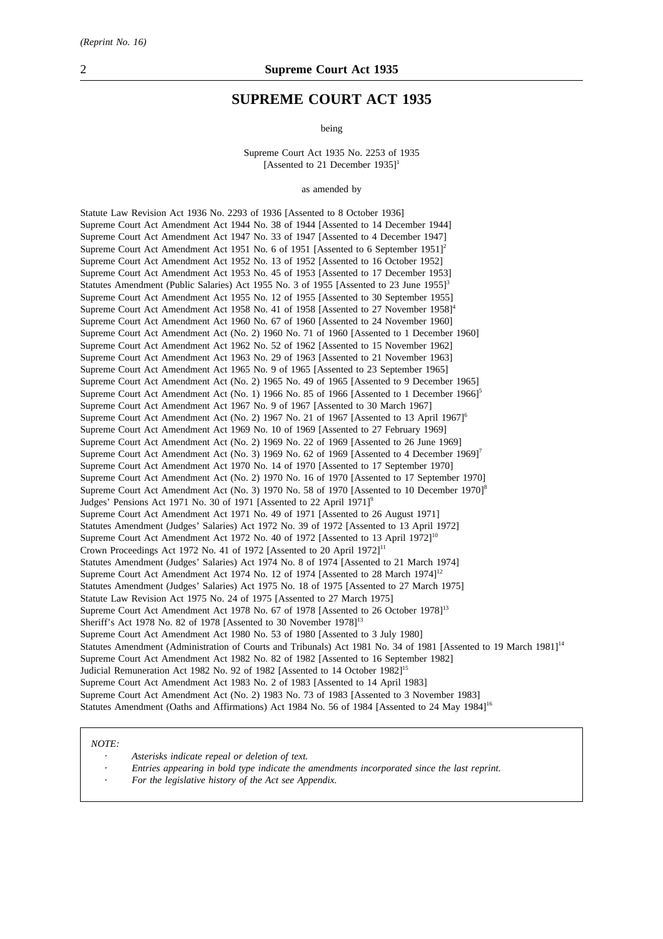### **SUPREME COURT ACT 1935**

being

Supreme Court Act 1935 No. 2253 of 1935 [Assented to 21 December  $1935$ ]<sup>1</sup>

as amended by

Statute Law Revision Act 1936 No. 2293 of 1936 [Assented to 8 October 1936] Supreme Court Act Amendment Act 1944 No. 38 of 1944 [Assented to 14 December 1944] Supreme Court Act Amendment Act 1947 No. 33 of 1947 [Assented to 4 December 1947] Supreme Court Act Amendment Act 1951 No. 6 of 1951 [Assented to 6 September 1951]<sup>2</sup> Supreme Court Act Amendment Act 1952 No. 13 of 1952 [Assented to 16 October 1952] Supreme Court Act Amendment Act 1953 No. 45 of 1953 [Assented to 17 December 1953] Statutes Amendment (Public Salaries) Act 1955 No. 3 of 1955 [Assented to 23 June 1955]<sup>3</sup> Supreme Court Act Amendment Act 1955 No. 12 of 1955 [Assented to 30 September 1955] Supreme Court Act Amendment Act 1958 No. 41 of 1958 [Assented to 27 November 1958]<sup>4</sup> Supreme Court Act Amendment Act 1960 No. 67 of 1960 [Assented to 24 November 1960] Supreme Court Act Amendment Act (No. 2) 1960 No. 71 of 1960 [Assented to 1 December 1960] Supreme Court Act Amendment Act 1962 No. 52 of 1962 [Assented to 15 November 1962] Supreme Court Act Amendment Act 1963 No. 29 of 1963 [Assented to 21 November 1963] Supreme Court Act Amendment Act 1965 No. 9 of 1965 [Assented to 23 September 1965] Supreme Court Act Amendment Act (No. 2) 1965 No. 49 of 1965 [Assented to 9 December 1965] Supreme Court Act Amendment Act (No. 1) 1966 No. 85 of 1966 [Assented to 1 December 1966]<sup>5</sup> Supreme Court Act Amendment Act 1967 No. 9 of 1967 [Assented to 30 March 1967] Supreme Court Act Amendment Act (No. 2) 1967 No. 21 of 1967 [Assented to 13 April 1967]<sup>6</sup> Supreme Court Act Amendment Act 1969 No. 10 of 1969 [Assented to 27 February 1969] Supreme Court Act Amendment Act (No. 2) 1969 No. 22 of 1969 [Assented to 26 June 1969] Supreme Court Act Amendment Act (No. 3) 1969 No. 62 of 1969 [Assented to 4 December 1969]<sup>7</sup> Supreme Court Act Amendment Act 1970 No. 14 of 1970 [Assented to 17 September 1970] Supreme Court Act Amendment Act (No. 2) 1970 No. 16 of 1970 [Assented to 17 September 1970] Supreme Court Act Amendment Act (No. 3) 1970 No. 58 of 1970 [Assented to 10 December 1970]<sup>8</sup> Judges' Pensions Act 1971 No. 30 of 1971 [Assented to 22 April 1971]<sup>9</sup> Supreme Court Act Amendment Act 1971 No. 49 of 1971 [Assented to 26 August 1971] Statutes Amendment (Judges' Salaries) Act 1972 No. 39 of 1972 [Assented to 13 April 1972] Supreme Court Act Amendment Act 1972 No. 40 of 1972 [Assented to 13 April 1972]<sup>10</sup> Crown Proceedings Act 1972 No. 41 of 1972 [Assented to 20 April 1972]<sup>11</sup> Statutes Amendment (Judges' Salaries) Act 1974 No. 8 of 1974 [Assented to 21 March 1974] Supreme Court Act Amendment Act 1974 No. 12 of 1974 [Assented to 28 March 1974]<sup>12</sup> Statutes Amendment (Judges' Salaries) Act 1975 No. 18 of 1975 [Assented to 27 March 1975] Statute Law Revision Act 1975 No. 24 of 1975 [Assented to 27 March 1975] Supreme Court Act Amendment Act 1978 No. 67 of 1978 [Assented to 26 October 1978]<sup>13</sup> Sheriff's Act 1978 No. 82 of 1978 [Assented to 30 November 1978]<sup>13</sup> Supreme Court Act Amendment Act 1980 No. 53 of 1980 [Assented to 3 July 1980] Statutes Amendment (Administration of Courts and Tribunals) Act 1981 No. 34 of 1981 [Assented to 19 March 1981]<sup>14</sup> Supreme Court Act Amendment Act 1982 No. 82 of 1982 [Assented to 16 September 1982] Judicial Remuneration Act 1982 No. 92 of 1982 [Assented to 14 October 1982]<sup>15</sup> Supreme Court Act Amendment Act 1983 No. 2 of 1983 [Assented to 14 April 1983] Supreme Court Act Amendment Act (No. 2) 1983 No. 73 of 1983 [Assented to 3 November 1983] Statutes Amendment (Oaths and Affirmations) Act 1984 No. 56 of 1984 [Assented to 24 May 1984]<sup>16</sup>

#### *NOTE:*

*Asterisks indicate repeal or deletion of text.*

- *Entries appearing in bold type indicate the amendments incorporated since the last reprint.*
- *For the legislative history of the Act see Appendix.*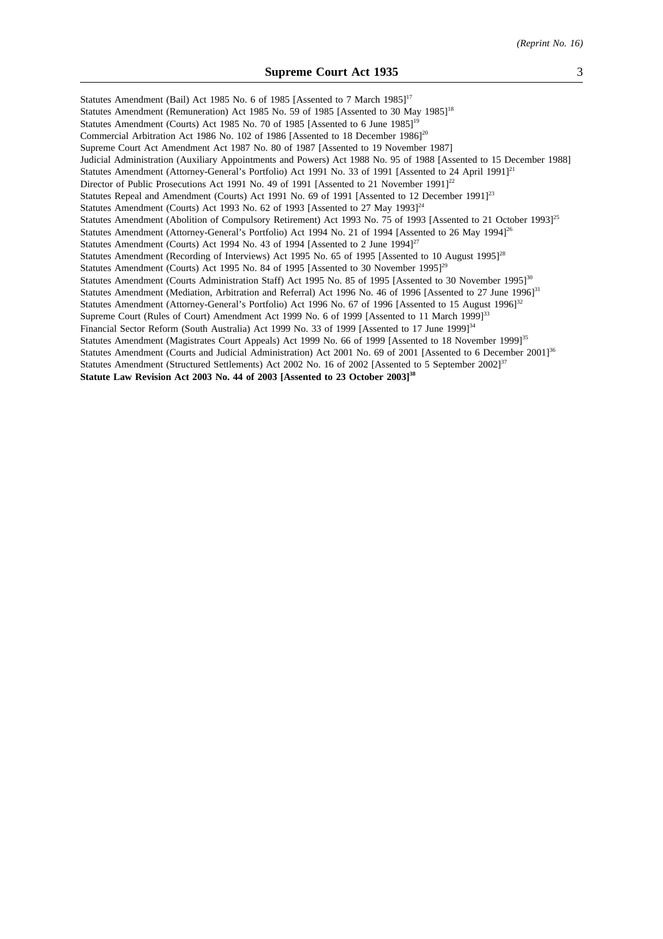Statutes Amendment (Bail) Act 1985 No. 6 of 1985 [Assented to 7 March 1985]<sup>17</sup> Statutes Amendment (Remuneration) Act 1985 No. 59 of 1985 [Assented to 30 May 1985]<sup>18</sup> Statutes Amendment (Courts) Act 1985 No. 70 of 1985 [Assented to 6 June 1985]<sup>19</sup> Commercial Arbitration Act 1986 No. 102 of 1986 [Assented to 18 December 1986]<sup>20</sup> Supreme Court Act Amendment Act 1987 No. 80 of 1987 [Assented to 19 November 1987] Judicial Administration (Auxiliary Appointments and Powers) Act 1988 No. 95 of 1988 [Assented to 15 December 1988] Statutes Amendment (Attorney-General's Portfolio) Act 1991 No. 33 of 1991 [Assented to 24 April 1991]<sup>21</sup> Director of Public Prosecutions Act 1991 No. 49 of 1991 [Assented to 21 November 1991]<sup>22</sup> Statutes Repeal and Amendment (Courts) Act 1991 No. 69 of 1991 [Assented to 12 December 1991]<sup>23</sup> Statutes Amendment (Courts) Act 1993 No. 62 of 1993 [Assented to 27 May 1993] $^{24}$ Statutes Amendment (Abolition of Compulsory Retirement) Act 1993 No. 75 of 1993 [Assented to 21 October 1993]<sup>25</sup> Statutes Amendment (Attorney-General's Portfolio) Act 1994 No. 21 of 1994 [Assented to 26 May 1994]<sup>26</sup> Statutes Amendment (Courts) Act 1994 No. 43 of 1994 [Assented to 2 June 1994]<sup>27</sup> Statutes Amendment (Recording of Interviews) Act 1995 No. 65 of 1995 [Assented to 10 August 1995]<sup>28</sup> Statutes Amendment (Courts) Act 1995 No. 84 of 1995 [Assented to 30 November 1995]<sup>29</sup> Statutes Amendment (Courts Administration Staff) Act 1995 No. 85 of 1995 [Assented to 30 November 1995]<sup>30</sup> Statutes Amendment (Mediation, Arbitration and Referral) Act 1996 No. 46 of 1996 [Assented to 27 June 1996]<sup>31</sup> Statutes Amendment (Attorney-General's Portfolio) Act 1996 No. 67 of 1996 [Assented to 15 August 1996]<sup>32</sup> Supreme Court (Rules of Court) Amendment Act 1999 No. 6 of 1999 [Assented to 11 March 1999]<sup>33</sup> Financial Sector Reform (South Australia) Act 1999 No. 33 of 1999 [Assented to 17 June 1999]<sup>34</sup> Statutes Amendment (Magistrates Court Appeals) Act 1999 No. 66 of 1999 [Assented to 18 November 1999]<sup>35</sup> Statutes Amendment (Courts and Judicial Administration) Act 2001 No. 69 of 2001 [Assented to 6 December 2001]<sup>36</sup> Statutes Amendment (Structured Settlements) Act 2002 No. 16 of 2002 [Assented to 5 September 2002]<sup>37</sup> **Statute Law Revision Act 2003 No. 44 of 2003 [Assented to 23 October 2003]38**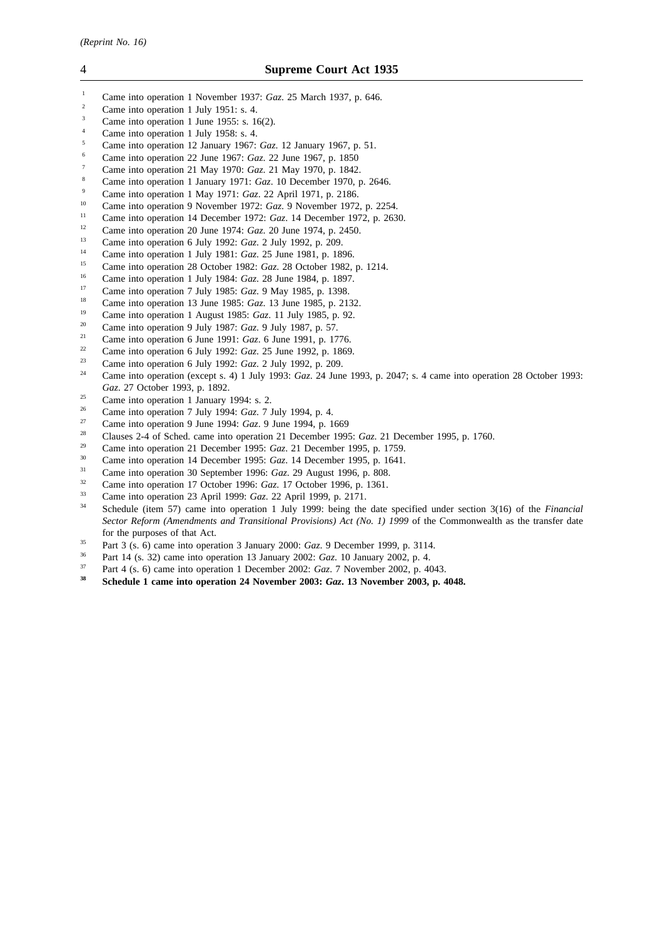- <sup>1</sup> Came into operation 1 November 1937: *Gaz*. 25 March 1937, p. 646.
- <sup>2</sup> Came into operation 1 July 1951: s. 4.
- $\frac{3}{4}$  Came into operation 1 June 1955: s. 16(2).
- Came into operation 1 July 1958: s. 4.
- <sup>5</sup> Came into operation 12 January 1967: *Gaz*. 12 January 1967, p. 51.
- <sup>6</sup> Came into operation 22 June 1967: *Gaz*. 22 June 1967, p. 1850
- <sup>7</sup> Came into operation 21 May 1970: *Gaz*. 21 May 1970, p. 1842.
- <sup>8</sup> Came into operation 1 January 1971: *Gaz*. 10 December 1970, p. 2646.
- <sup>9</sup> Came into operation 1 May 1971: *Gaz*. 22 April 1971, p. 2186.
- <sup>10</sup> Came into operation 9 November 1972: *Gaz*. 9 November 1972, p. 2254.
- <sup>11</sup> Came into operation 14 December 1972: *Gaz*. 14 December 1972, p. 2630.
- <sup>12</sup> Came into operation 20 June 1974: *Gaz*. 20 June 1974, p. 2450.<br><sup>13</sup> Came into a paration 6 July 1993: *G*<sub>re</sub> 2 July 1993, p. 299.
- <sup>13</sup> Came into operation 6 July 1992: *Gaz*. 2 July 1992, p. 209.
- <sup>14</sup> Came into operation 1 July 1981: *Gaz*. 25 June 1981, p. 1896.
- <sup>15</sup> Came into operation 28 October 1982: *Gaz.* 28 October 1982, p. 1214.
- <sup>16</sup> Came into operation 1 July 1984: *Gaz.* 28 June 1984, p. 1897.
- <sup>17</sup> Came into operation 7 July 1985: *Gaz*. 9 May 1985, p. 1398.<br><sup>18</sup> Came into operation 13 June 1985: *Gaz*. 13 June 1985, p. 21
- <sup>18</sup> Came into operation 13 June 1985: *Gaz*. 13 June 1985, p. 2132.
- <sup>19</sup> Came into operation 1 August 1985: *Gaz*. 11 July 1985, p. 92.<br><sup>20</sup> Came into operation 9 July 1987: *Gaz*. 9 July 1987, p. 57
- <sup>20</sup> Came into operation 9 July 1987: *Gaz*. 9 July 1987, p. 57.
- <sup>21</sup> Came into operation 6 June 1991: *Gaz*. 6 June 1991, p. 1776.
- <sup>22</sup> Came into operation 6 July 1992: *Gaz*. 25 June 1992, p. 1869.
- <sup>23</sup> Came into operation 6 July 1992: *Gaz*. 2 July 1992, p. 209.
- <sup>24</sup> Came into operation (except s. 4) 1 July 1993: *Gaz*. 24 June 1993, p. 2047; s. 4 came into operation 28 October 1993: *Gaz*. 27 October 1993, p. 1892.
- <sup>25</sup> Came into operation 1 January 1994: s. 2.<br>
<sup>26</sup> Came into operation 7 July 1994:  $G = 7.1$
- <sup>26</sup> Came into operation 7 July 1994: *Gaz*. 7 July 1994, p. 4.
- <sup>27</sup> Came into operation 9 June 1994: *Gaz*. 9 June 1994, p. 1669
- <sup>28</sup> Clauses 2-4 of Sched. came into operation 21 December 1995: *Gaz*. 21 December 1995, p. 1760.
- <sup>29</sup> Came into operation 21 December 1995: *Gaz*. 21 December 1995, p. 1759.
- <sup>30</sup> Came into operation 14 December 1995: *Gaz*. 14 December 1995, p. 1641.
- <sup>31</sup> Came into operation 30 September 1996: *Gaz*. 29 August 1996, p. 808.<br> *Came into operation 17 October 1996: <i>Gaz*. 17 October 1996, p. 1361
- <sup>32</sup> Came into operation 17 October 1996: *Gaz*. 17 October 1996, p. 1361.<br><sup>33</sup> Came into operation 22 April 1999: *Gaz*. 22 April 1999 p. 2171.
- <sup>33</sup> Came into operation 23 April 1999: *Gaz*. 22 April 1999, p. 2171.
- <sup>34</sup> Schedule (item 57) came into operation 1 July 1999: being the date specified under section 3(16) of the *Financial Sector Reform (Amendments and Transitional Provisions) Act (No. 1) 1999* of the Commonwealth as the transfer date for the purposes of that Act.
- <sup>35</sup> Part 3 (s. 6) came into operation 3 January 2000: *Gaz*. 9 December 1999, p. 3114.
- <sup>36</sup> Part 14 (s. 32) came into operation 13 January 2002: *Gaz*. 10 January 2002, p. 4.
- <sup>37</sup> Part 4 (s. 6) came into operation 1 December 2002: *Gaz*. 7 November 2002, p. 4043.
- **<sup>38</sup> Schedule 1 came into operation 24 November 2003:** *Gaz***. 13 November 2003, p. 4048.**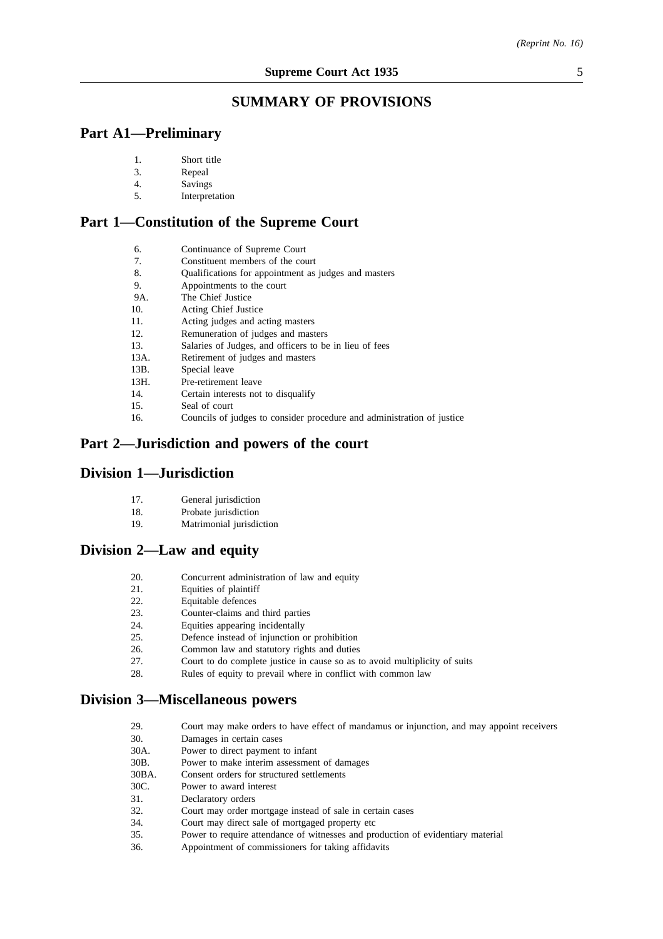# **SUMMARY OF PROVISIONS**

### **Part A1—Preliminary**

| Short title |  |
|-------------|--|
|             |  |

- 3. Repeal
- 4. Savings
- 5. Interpretation

### **Part 1—Constitution of the Supreme Court**

| 6.   | Continuance of Supreme Court                                           |
|------|------------------------------------------------------------------------|
| 7.   | Constituent members of the court                                       |
| 8.   | Qualifications for appointment as judges and masters                   |
| 9.   | Appointments to the court                                              |
| 9A.  | The Chief Justice                                                      |
| 10.  | <b>Acting Chief Justice</b>                                            |
| 11.  | Acting judges and acting masters                                       |
| 12.  | Remuneration of judges and masters                                     |
| 13.  | Salaries of Judges, and officers to be in lieu of fees                 |
| 13A. | Retirement of judges and masters                                       |
| 13B. | Special leave                                                          |
| 13H. | Pre-retirement leave                                                   |
| 14.  | Certain interests not to disqualify                                    |
| 15.  | Seal of court                                                          |
| 16.  | Councils of judges to consider procedure and administration of justice |

# **Part 2—Jurisdiction and powers of the court**

### **Division 1—Jurisdiction**

- 18. Probate jurisdiction
- 19. Matrimonial jurisdiction

### **Division 2—Law and equity**

- 20. Concurrent administration of law and equity
- 21. Equities of plaintiff
- 22. Equitable defences
- 23. Counter-claims and third parties
- 24. Equities appearing incidentally
- 25. Defence instead of injunction or prohibition
- 26. Common law and statutory rights and duties
- 27. Court to do complete justice in cause so as to avoid multiplicity of suits
- 28. Rules of equity to prevail where in conflict with common law

### **Division 3—Miscellaneous powers**

29. Court may make orders to have effect of mandamus or injunction, and may appoint receivers 30. Damages in certain cases 30A. Power to direct payment to infant 30B. Power to make interim assessment of damages 30BA. Consent orders for structured settlements<br>30C. Power to award interest Power to award interest 31. Declaratory orders 32. Court may order mortgage instead of sale in certain cases 34. Court may direct sale of mortgaged property etc 35. Power to require attendance of witnesses and production of evidentiary material 36. Appointment of commissioners for taking affidavits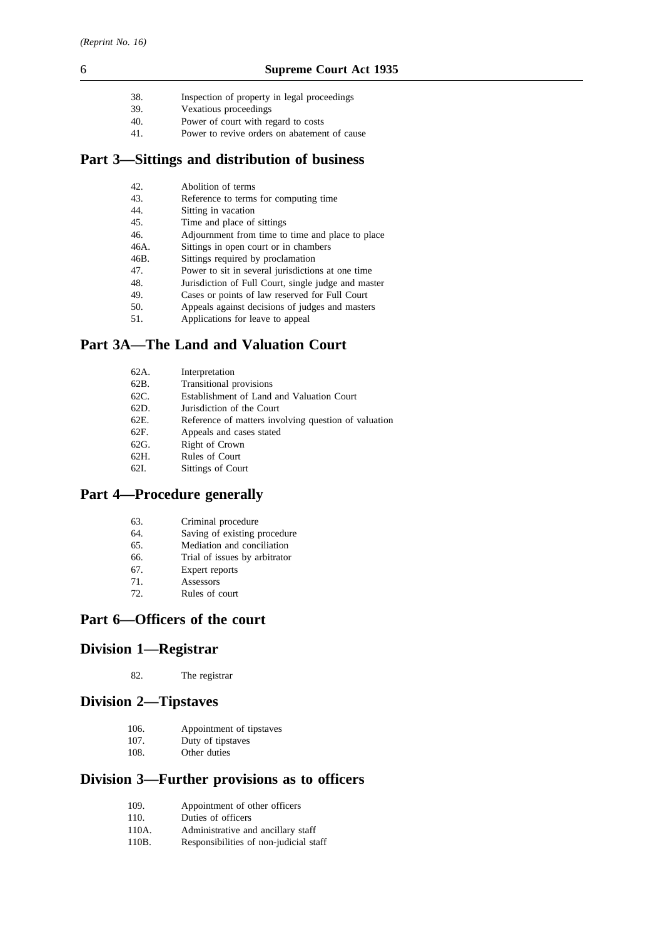- 38. Inspection of property in legal proceedings
- 39. Vexatious proceedings
- 40. Power of court with regard to costs
- 41. Power to revive orders on abatement of cause

# **Part 3—Sittings and distribution of business**

| 42.  | Abolition of terms                                  |
|------|-----------------------------------------------------|
| 43.  | Reference to terms for computing time               |
| 44.  | Sitting in vacation                                 |
| 45.  | Time and place of sittings                          |
| 46.  | Adjournment from time to time and place to place    |
| 46A. | Sittings in open court or in chambers               |
| 46B. | Sittings required by proclamation                   |
| 47.  | Power to sit in several jurisdictions at one time   |
| 48.  | Jurisdiction of Full Court, single judge and master |
| 49.  | Cases or points of law reserved for Full Court      |
| 50.  | Appeals against decisions of judges and masters     |
| 51.  | Applications for leave to appeal                    |

# **Part 3A—The Land and Valuation Court**

| 62A. | Interpretation                                       |
|------|------------------------------------------------------|
| 62B. | Transitional provisions                              |
| 62C. | Establishment of Land and Valuation Court            |
| 62D. | Jurisdiction of the Court                            |
| 62E. | Reference of matters involving question of valuation |
| 62F. | Appeals and cases stated                             |
| 62G. | Right of Crown                                       |
| 62H. | Rules of Court                                       |
| 62I. | Sittings of Court                                    |
|      |                                                      |

# **Part 4—Procedure generally**

- 64. Saving of existing procedure<br>65. Mediation and conciliation
- 65. Mediation and conciliation<br>66. Trial of issues by arbitrator
- Trial of issues by arbitrator
- 67. Expert reports
- 71. Assessors
- 72. Rules of court

# **Part 6—Officers of the court**

# **Division 1—Registrar**

82. The registrar

### **Division 2—Tipstaves**

- 106. Appointment of tipstaves
- 107. Duty of tipstaves<br>108. Other duties
- Other duties

# **Division 3—Further provisions as to officers**

- 109. Appointment of other officers
- 110. Duties of officers
- 110A. Administrative and ancillary staff
- 110B. Responsibilities of non-judicial staff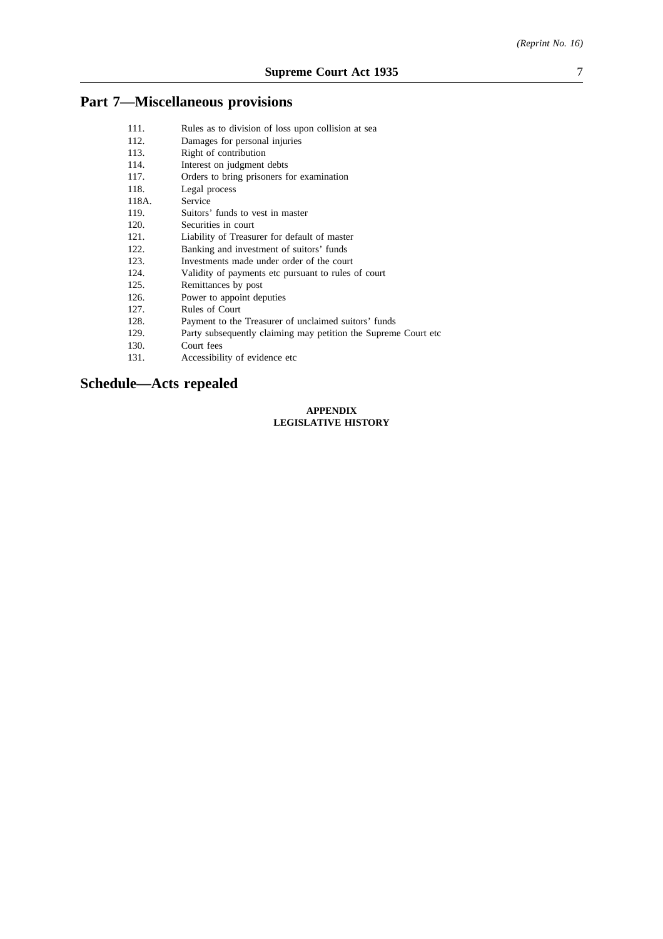# **Part 7—Miscellaneous provisions**

| 111.  | Rules as to division of loss upon collision at sea              |
|-------|-----------------------------------------------------------------|
| 112.  | Damages for personal injuries                                   |
| 113.  | Right of contribution                                           |
| 114.  | Interest on judgment debts                                      |
| 117.  | Orders to bring prisoners for examination                       |
| 118.  | Legal process                                                   |
| 118A. | Service                                                         |
| 119.  | Suitors' funds to vest in master                                |
| 120.  | Securities in court                                             |
| 121.  | Liability of Treasurer for default of master                    |
| 122.  | Banking and investment of suitors' funds                        |
| 123.  | Investments made under order of the court                       |
| 124.  | Validity of payments etc pursuant to rules of court             |
| 125.  | Remittances by post                                             |
| 126.  | Power to appoint deputies                                       |
| 127.  | Rules of Court                                                  |
| 128.  | Payment to the Treasurer of unclaimed suitors' funds            |
| 129.  | Party subsequently claiming may petition the Supreme Court etc. |
| 130.  | Court fees                                                      |
|       |                                                                 |

131. Accessibility of evidence etc

# **Schedule—Acts repealed**

#### **APPENDIX LEGISLATIVE HISTORY**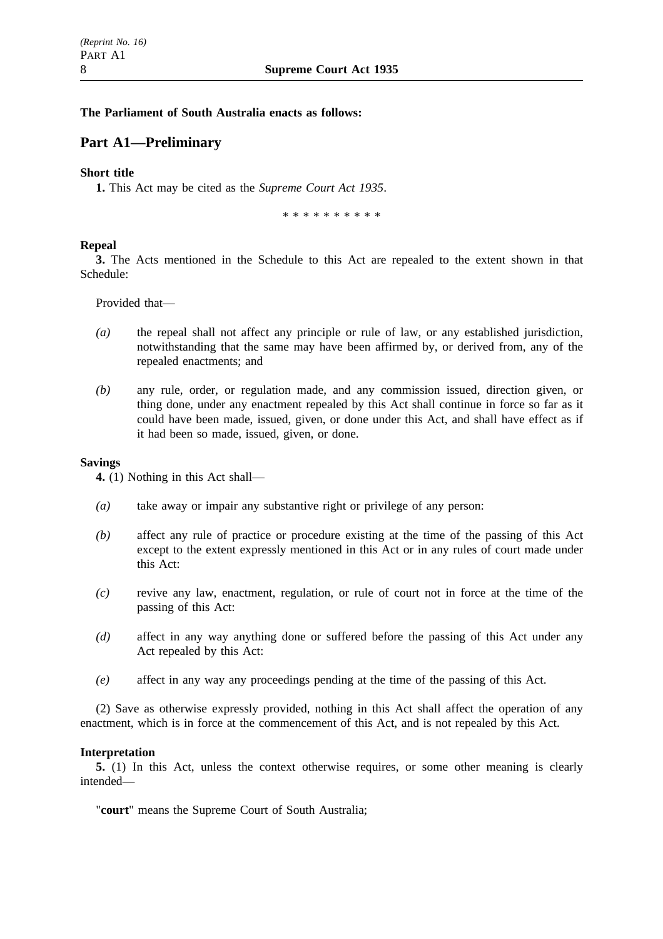### **The Parliament of South Australia enacts as follows:**

### **Part A1—Preliminary**

### **Short title**

**1.** This Act may be cited as the *Supreme Court Act 1935*.

\*\*\*\*\*\*\*\*\*\*

### **Repeal**

**3.** The Acts mentioned in the Schedule to this Act are repealed to the extent shown in that Schedule:

Provided that—

- *(a)* the repeal shall not affect any principle or rule of law, or any established jurisdiction, notwithstanding that the same may have been affirmed by, or derived from, any of the repealed enactments; and
- *(b)* any rule, order, or regulation made, and any commission issued, direction given, or thing done, under any enactment repealed by this Act shall continue in force so far as it could have been made, issued, given, or done under this Act, and shall have effect as if it had been so made, issued, given, or done.

### **Savings**

**4.** (1) Nothing in this Act shall—

- *(a)* take away or impair any substantive right or privilege of any person:
- *(b)* affect any rule of practice or procedure existing at the time of the passing of this Act except to the extent expressly mentioned in this Act or in any rules of court made under this Act:
- *(c)* revive any law, enactment, regulation, or rule of court not in force at the time of the passing of this Act:
- *(d)* affect in any way anything done or suffered before the passing of this Act under any Act repealed by this Act:
- *(e)* affect in any way any proceedings pending at the time of the passing of this Act.

(2) Save as otherwise expressly provided, nothing in this Act shall affect the operation of any enactment, which is in force at the commencement of this Act, and is not repealed by this Act.

### **Interpretation**

**5.** (1) In this Act, unless the context otherwise requires, or some other meaning is clearly intended—

"**court**" means the Supreme Court of South Australia;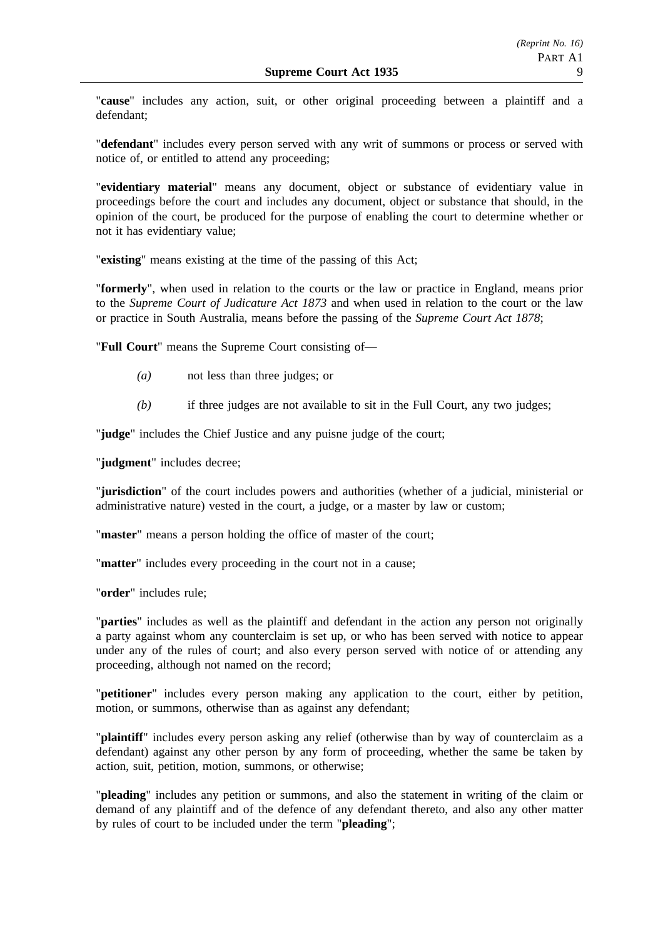"**cause**" includes any action, suit, or other original proceeding between a plaintiff and a defendant;

"**defendant**" includes every person served with any writ of summons or process or served with notice of, or entitled to attend any proceeding;

"**evidentiary material**" means any document, object or substance of evidentiary value in proceedings before the court and includes any document, object or substance that should, in the opinion of the court, be produced for the purpose of enabling the court to determine whether or not it has evidentiary value;

"**existing**" means existing at the time of the passing of this Act;

"**formerly**", when used in relation to the courts or the law or practice in England, means prior to the *Supreme Court of Judicature Act 1873* and when used in relation to the court or the law or practice in South Australia, means before the passing of the *Supreme Court Act 1878*;

"**Full Court**" means the Supreme Court consisting of—

- *(a)* not less than three judges; or
- *(b)* if three judges are not available to sit in the Full Court, any two judges;

"**judge**" includes the Chief Justice and any puisne judge of the court;

"**judgment**" includes decree;

"**jurisdiction**" of the court includes powers and authorities (whether of a judicial, ministerial or administrative nature) vested in the court, a judge, or a master by law or custom;

"**master**" means a person holding the office of master of the court;

"**matter**" includes every proceeding in the court not in a cause;

"**order**" includes rule;

"**parties**" includes as well as the plaintiff and defendant in the action any person not originally a party against whom any counterclaim is set up, or who has been served with notice to appear under any of the rules of court; and also every person served with notice of or attending any proceeding, although not named on the record;

"**petitioner**" includes every person making any application to the court, either by petition, motion, or summons, otherwise than as against any defendant;

"**plaintiff**" includes every person asking any relief (otherwise than by way of counterclaim as a defendant) against any other person by any form of proceeding, whether the same be taken by action, suit, petition, motion, summons, or otherwise;

"**pleading**" includes any petition or summons, and also the statement in writing of the claim or demand of any plaintiff and of the defence of any defendant thereto, and also any other matter by rules of court to be included under the term "**pleading**";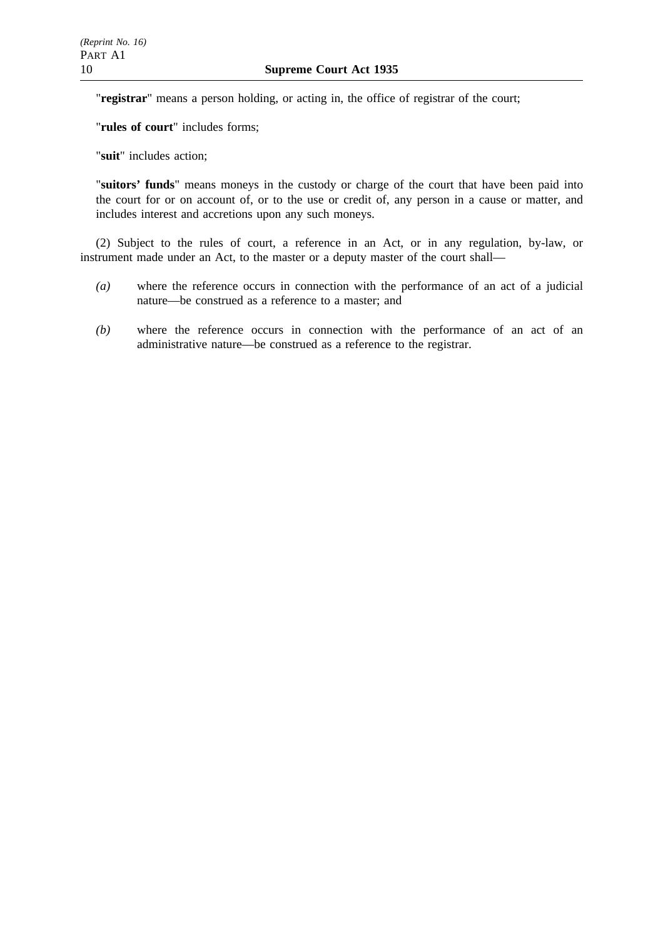"**registrar**" means a person holding, or acting in, the office of registrar of the court;

"**rules of court**" includes forms;

"**suit**" includes action;

"**suitors' funds**" means moneys in the custody or charge of the court that have been paid into the court for or on account of, or to the use or credit of, any person in a cause or matter, and includes interest and accretions upon any such moneys.

(2) Subject to the rules of court, a reference in an Act, or in any regulation, by-law, or instrument made under an Act, to the master or a deputy master of the court shall—

- *(a)* where the reference occurs in connection with the performance of an act of a judicial nature—be construed as a reference to a master; and
- *(b)* where the reference occurs in connection with the performance of an act of an administrative nature—be construed as a reference to the registrar.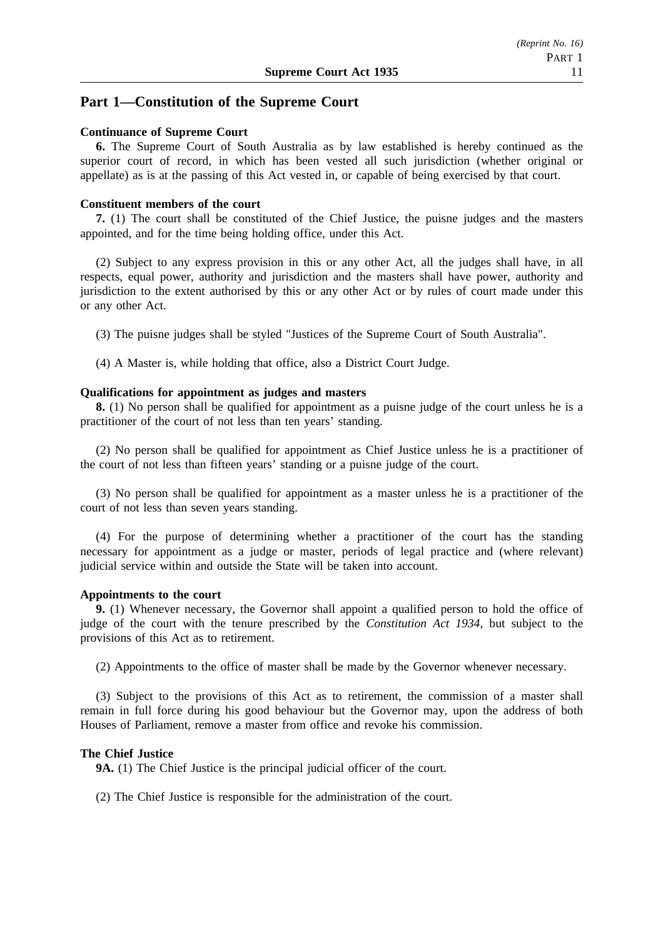# **Part 1—Constitution of the Supreme Court**

### **Continuance of Supreme Court**

**6.** The Supreme Court of South Australia as by law established is hereby continued as the superior court of record, in which has been vested all such jurisdiction (whether original or appellate) as is at the passing of this Act vested in, or capable of being exercised by that court.

### **Constituent members of the court**

**7.** (1) The court shall be constituted of the Chief Justice, the puisne judges and the masters appointed, and for the time being holding office, under this Act.

(2) Subject to any express provision in this or any other Act, all the judges shall have, in all respects, equal power, authority and jurisdiction and the masters shall have power, authority and jurisdiction to the extent authorised by this or any other Act or by rules of court made under this or any other Act.

(3) The puisne judges shall be styled "Justices of the Supreme Court of South Australia".

(4) A Master is, while holding that office, also a District Court Judge.

### **Qualifications for appointment as judges and masters**

**8.** (1) No person shall be qualified for appointment as a puisne judge of the court unless he is a practitioner of the court of not less than ten years' standing.

(2) No person shall be qualified for appointment as Chief Justice unless he is a practitioner of the court of not less than fifteen years' standing or a puisne judge of the court.

(3) No person shall be qualified for appointment as a master unless he is a practitioner of the court of not less than seven years standing.

(4) For the purpose of determining whether a practitioner of the court has the standing necessary for appointment as a judge or master, periods of legal practice and (where relevant) judicial service within and outside the State will be taken into account.

### **Appointments to the court**

**9.** (1) Whenever necessary, the Governor shall appoint a qualified person to hold the office of judge of the court with the tenure prescribed by the *Constitution Act 1934*, but subject to the provisions of this Act as to retirement.

(2) Appointments to the office of master shall be made by the Governor whenever necessary.

(3) Subject to the provisions of this Act as to retirement, the commission of a master shall remain in full force during his good behaviour but the Governor may, upon the address of both Houses of Parliament, remove a master from office and revoke his commission.

### **The Chief Justice**

**9A.** (1) The Chief Justice is the principal judicial officer of the court.

(2) The Chief Justice is responsible for the administration of the court.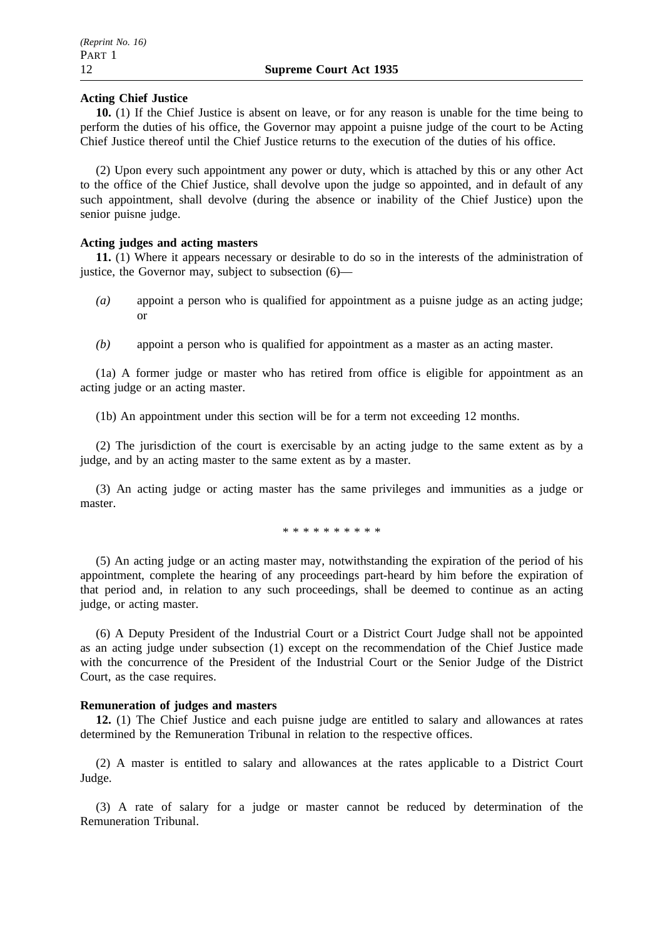### **Acting Chief Justice**

**10.** (1) If the Chief Justice is absent on leave, or for any reason is unable for the time being to perform the duties of his office, the Governor may appoint a puisne judge of the court to be Acting Chief Justice thereof until the Chief Justice returns to the execution of the duties of his office.

(2) Upon every such appointment any power or duty, which is attached by this or any other Act to the office of the Chief Justice, shall devolve upon the judge so appointed, and in default of any such appointment, shall devolve (during the absence or inability of the Chief Justice) upon the senior puisne judge.

### **Acting judges and acting masters**

**11.** (1) Where it appears necessary or desirable to do so in the interests of the administration of justice, the Governor may, subject to subsection (6)—

- *(a)* appoint a person who is qualified for appointment as a puisne judge as an acting judge; or
- *(b)* appoint a person who is qualified for appointment as a master as an acting master.

(1a) A former judge or master who has retired from office is eligible for appointment as an acting judge or an acting master.

(1b) An appointment under this section will be for a term not exceeding 12 months.

(2) The jurisdiction of the court is exercisable by an acting judge to the same extent as by a judge, and by an acting master to the same extent as by a master.

(3) An acting judge or acting master has the same privileges and immunities as a judge or master.

\*\*\*\*\*\*\*\*\*\*

(5) An acting judge or an acting master may, notwithstanding the expiration of the period of his appointment, complete the hearing of any proceedings part-heard by him before the expiration of that period and, in relation to any such proceedings, shall be deemed to continue as an acting judge, or acting master.

(6) A Deputy President of the Industrial Court or a District Court Judge shall not be appointed as an acting judge under subsection (1) except on the recommendation of the Chief Justice made with the concurrence of the President of the Industrial Court or the Senior Judge of the District Court, as the case requires.

### **Remuneration of judges and masters**

**12.** (1) The Chief Justice and each puisne judge are entitled to salary and allowances at rates determined by the Remuneration Tribunal in relation to the respective offices.

(2) A master is entitled to salary and allowances at the rates applicable to a District Court Judge.

(3) A rate of salary for a judge or master cannot be reduced by determination of the Remuneration Tribunal.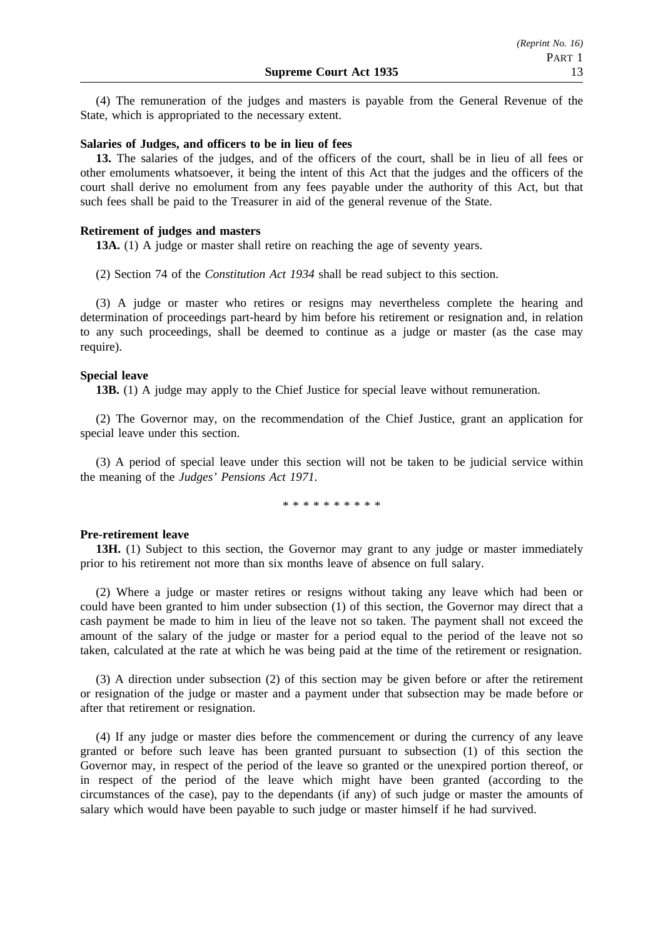(4) The remuneration of the judges and masters is payable from the General Revenue of the State, which is appropriated to the necessary extent.

#### **Salaries of Judges, and officers to be in lieu of fees**

**13.** The salaries of the judges, and of the officers of the court, shall be in lieu of all fees or other emoluments whatsoever, it being the intent of this Act that the judges and the officers of the court shall derive no emolument from any fees payable under the authority of this Act, but that such fees shall be paid to the Treasurer in aid of the general revenue of the State.

#### **Retirement of judges and masters**

**13A.** (1) A judge or master shall retire on reaching the age of seventy years.

(2) Section 74 of the *Constitution Act 1934* shall be read subject to this section.

(3) A judge or master who retires or resigns may nevertheless complete the hearing and determination of proceedings part-heard by him before his retirement or resignation and, in relation to any such proceedings, shall be deemed to continue as a judge or master (as the case may require).

#### **Special leave**

**13B.** (1) A judge may apply to the Chief Justice for special leave without remuneration.

(2) The Governor may, on the recommendation of the Chief Justice, grant an application for special leave under this section.

(3) A period of special leave under this section will not be taken to be judicial service within the meaning of the *Judges' Pensions Act 1971*.

\*\*\*\*\*\*\*\*\*\*

#### **Pre-retirement leave**

**13H.** (1) Subject to this section, the Governor may grant to any judge or master immediately prior to his retirement not more than six months leave of absence on full salary.

(2) Where a judge or master retires or resigns without taking any leave which had been or could have been granted to him under subsection (1) of this section, the Governor may direct that a cash payment be made to him in lieu of the leave not so taken. The payment shall not exceed the amount of the salary of the judge or master for a period equal to the period of the leave not so taken, calculated at the rate at which he was being paid at the time of the retirement or resignation.

(3) A direction under subsection (2) of this section may be given before or after the retirement or resignation of the judge or master and a payment under that subsection may be made before or after that retirement or resignation.

(4) If any judge or master dies before the commencement or during the currency of any leave granted or before such leave has been granted pursuant to subsection (1) of this section the Governor may, in respect of the period of the leave so granted or the unexpired portion thereof, or in respect of the period of the leave which might have been granted (according to the circumstances of the case), pay to the dependants (if any) of such judge or master the amounts of salary which would have been payable to such judge or master himself if he had survived.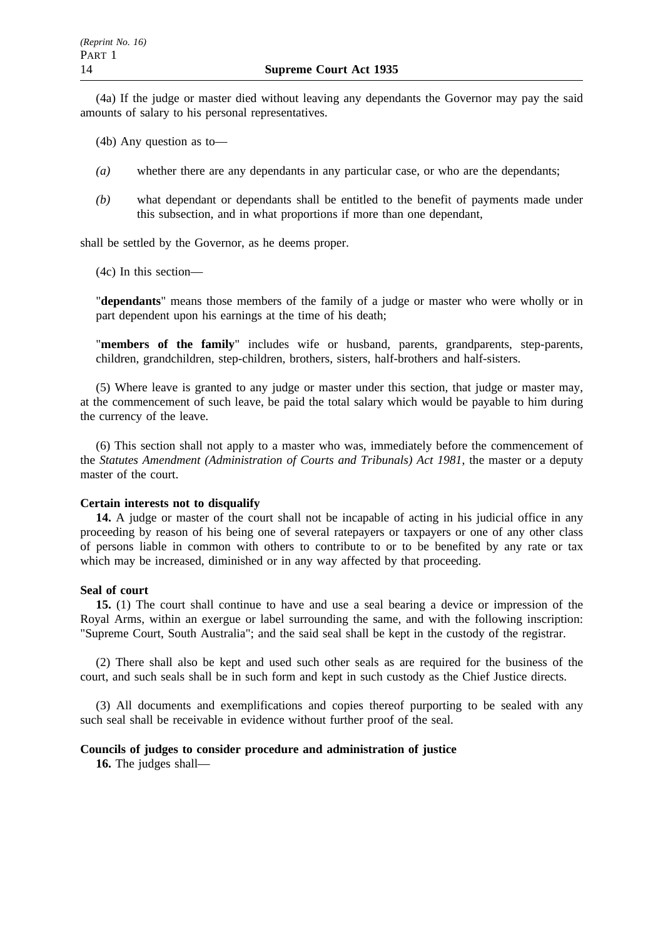(4a) If the judge or master died without leaving any dependants the Governor may pay the said amounts of salary to his personal representatives.

(4b) Any question as to—

- *(a)* whether there are any dependants in any particular case, or who are the dependants;
- *(b)* what dependant or dependants shall be entitled to the benefit of payments made under this subsection, and in what proportions if more than one dependant,

shall be settled by the Governor, as he deems proper.

(4c) In this section—

"**dependants**" means those members of the family of a judge or master who were wholly or in part dependent upon his earnings at the time of his death;

"**members of the family**" includes wife or husband, parents, grandparents, step-parents, children, grandchildren, step-children, brothers, sisters, half-brothers and half-sisters.

(5) Where leave is granted to any judge or master under this section, that judge or master may, at the commencement of such leave, be paid the total salary which would be payable to him during the currency of the leave.

(6) This section shall not apply to a master who was, immediately before the commencement of the *Statutes Amendment (Administration of Courts and Tribunals) Act 1981*, the master or a deputy master of the court.

#### **Certain interests not to disqualify**

**14.** A judge or master of the court shall not be incapable of acting in his judicial office in any proceeding by reason of his being one of several ratepayers or taxpayers or one of any other class of persons liable in common with others to contribute to or to be benefited by any rate or tax which may be increased, diminished or in any way affected by that proceeding.

#### **Seal of court**

**15.** (1) The court shall continue to have and use a seal bearing a device or impression of the Royal Arms, within an exergue or label surrounding the same, and with the following inscription: "Supreme Court, South Australia"; and the said seal shall be kept in the custody of the registrar.

(2) There shall also be kept and used such other seals as are required for the business of the court, and such seals shall be in such form and kept in such custody as the Chief Justice directs.

(3) All documents and exemplifications and copies thereof purporting to be sealed with any such seal shall be receivable in evidence without further proof of the seal.

#### **Councils of judges to consider procedure and administration of justice**

**16.** The judges shall—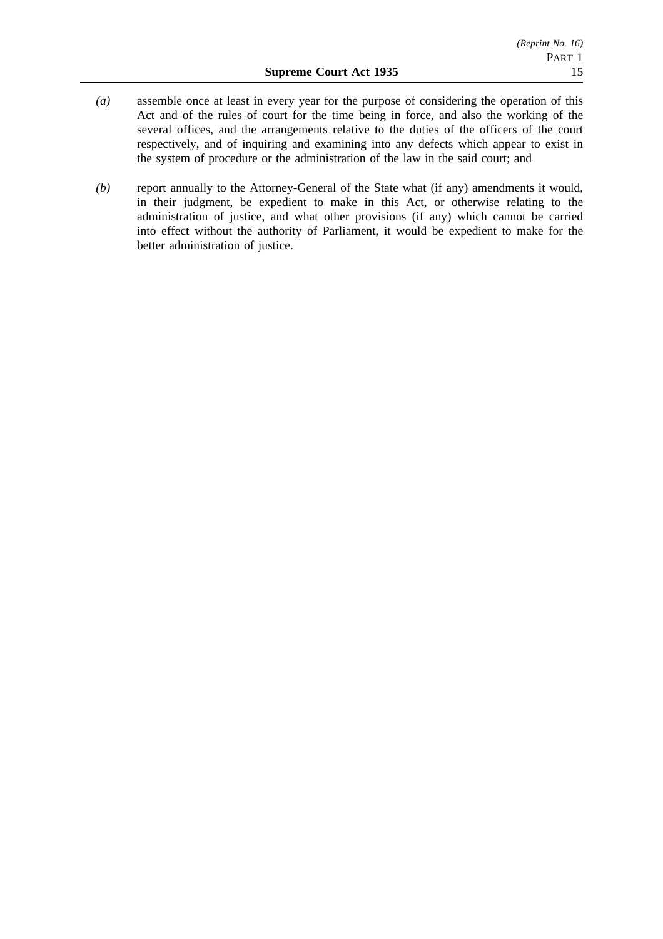- *(a)* assemble once at least in every year for the purpose of considering the operation of this Act and of the rules of court for the time being in force, and also the working of the several offices, and the arrangements relative to the duties of the officers of the court respectively, and of inquiring and examining into any defects which appear to exist in the system of procedure or the administration of the law in the said court; and
- *(b)* report annually to the Attorney-General of the State what (if any) amendments it would, in their judgment, be expedient to make in this Act, or otherwise relating to the administration of justice, and what other provisions (if any) which cannot be carried into effect without the authority of Parliament, it would be expedient to make for the better administration of justice.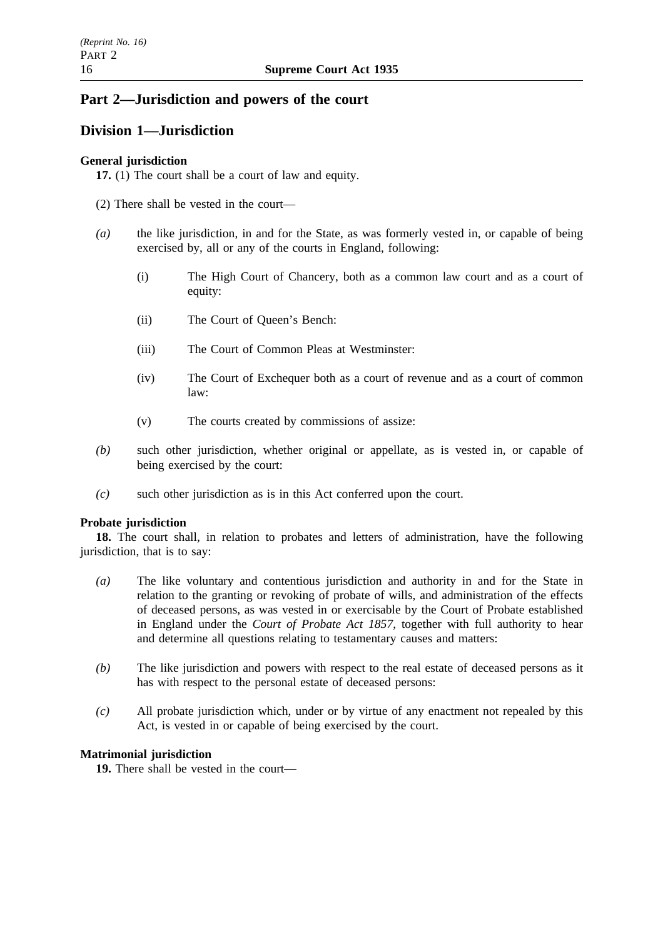# **Part 2—Jurisdiction and powers of the court**

# **Division 1—Jurisdiction**

### **General jurisdiction**

**17.** (1) The court shall be a court of law and equity.

(2) There shall be vested in the court—

- *(a)* the like jurisdiction, in and for the State, as was formerly vested in, or capable of being exercised by, all or any of the courts in England, following:
	- (i) The High Court of Chancery, both as a common law court and as a court of equity:
	- (ii) The Court of Queen's Bench:
	- (iii) The Court of Common Pleas at Westminster:
	- (iv) The Court of Exchequer both as a court of revenue and as a court of common law:
	- (v) The courts created by commissions of assize:
- *(b)* such other jurisdiction, whether original or appellate, as is vested in, or capable of being exercised by the court:
- *(c)* such other jurisdiction as is in this Act conferred upon the court.

### **Probate jurisdiction**

**18.** The court shall, in relation to probates and letters of administration, have the following jurisdiction, that is to say:

- *(a)* The like voluntary and contentious jurisdiction and authority in and for the State in relation to the granting or revoking of probate of wills, and administration of the effects of deceased persons, as was vested in or exercisable by the Court of Probate established in England under the *Court of Probate Act 1857*, together with full authority to hear and determine all questions relating to testamentary causes and matters:
- *(b)* The like jurisdiction and powers with respect to the real estate of deceased persons as it has with respect to the personal estate of deceased persons:
- *(c)* All probate jurisdiction which, under or by virtue of any enactment not repealed by this Act, is vested in or capable of being exercised by the court.

# **Matrimonial jurisdiction**

**19.** There shall be vested in the court—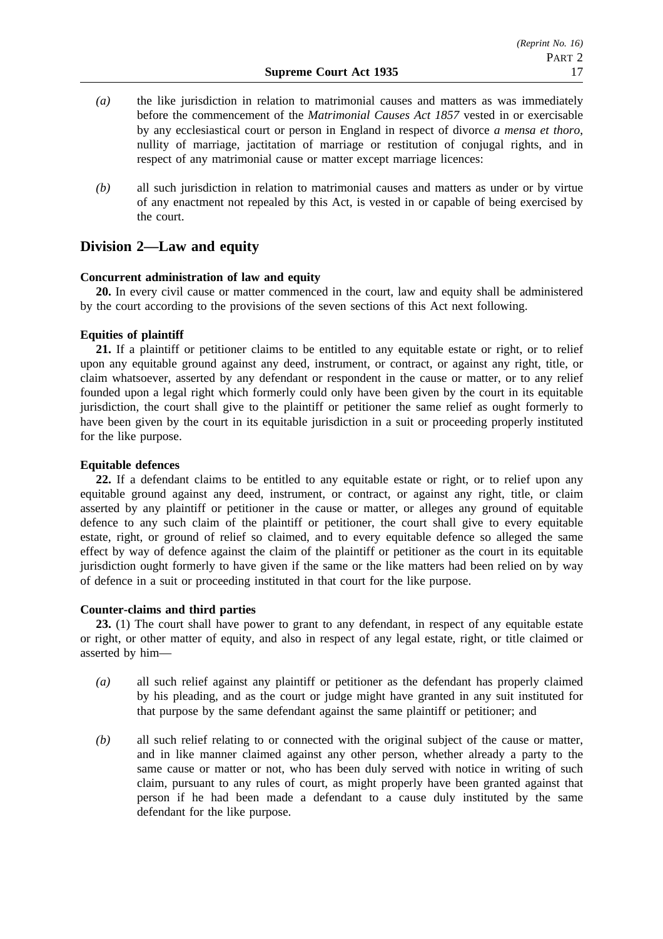- *(a)* the like jurisdiction in relation to matrimonial causes and matters as was immediately before the commencement of the *Matrimonial Causes Act 1857* vested in or exercisable by any ecclesiastical court or person in England in respect of divorce *a mensa et thoro*, nullity of marriage, jactitation of marriage or restitution of conjugal rights, and in respect of any matrimonial cause or matter except marriage licences:
- *(b)* all such jurisdiction in relation to matrimonial causes and matters as under or by virtue of any enactment not repealed by this Act, is vested in or capable of being exercised by the court.

# **Division 2—Law and equity**

### **Concurrent administration of law and equity**

**20.** In every civil cause or matter commenced in the court, law and equity shall be administered by the court according to the provisions of the seven sections of this Act next following.

### **Equities of plaintiff**

**21.** If a plaintiff or petitioner claims to be entitled to any equitable estate or right, or to relief upon any equitable ground against any deed, instrument, or contract, or against any right, title, or claim whatsoever, asserted by any defendant or respondent in the cause or matter, or to any relief founded upon a legal right which formerly could only have been given by the court in its equitable jurisdiction, the court shall give to the plaintiff or petitioner the same relief as ought formerly to have been given by the court in its equitable jurisdiction in a suit or proceeding properly instituted for the like purpose.

### **Equitable defences**

**22.** If a defendant claims to be entitled to any equitable estate or right, or to relief upon any equitable ground against any deed, instrument, or contract, or against any right, title, or claim asserted by any plaintiff or petitioner in the cause or matter, or alleges any ground of equitable defence to any such claim of the plaintiff or petitioner, the court shall give to every equitable estate, right, or ground of relief so claimed, and to every equitable defence so alleged the same effect by way of defence against the claim of the plaintiff or petitioner as the court in its equitable jurisdiction ought formerly to have given if the same or the like matters had been relied on by way of defence in a suit or proceeding instituted in that court for the like purpose.

### **Counter-claims and third parties**

**23.** (1) The court shall have power to grant to any defendant, in respect of any equitable estate or right, or other matter of equity, and also in respect of any legal estate, right, or title claimed or asserted by him—

- *(a)* all such relief against any plaintiff or petitioner as the defendant has properly claimed by his pleading, and as the court or judge might have granted in any suit instituted for that purpose by the same defendant against the same plaintiff or petitioner; and
- *(b)* all such relief relating to or connected with the original subject of the cause or matter, and in like manner claimed against any other person, whether already a party to the same cause or matter or not, who has been duly served with notice in writing of such claim, pursuant to any rules of court, as might properly have been granted against that person if he had been made a defendant to a cause duly instituted by the same defendant for the like purpose.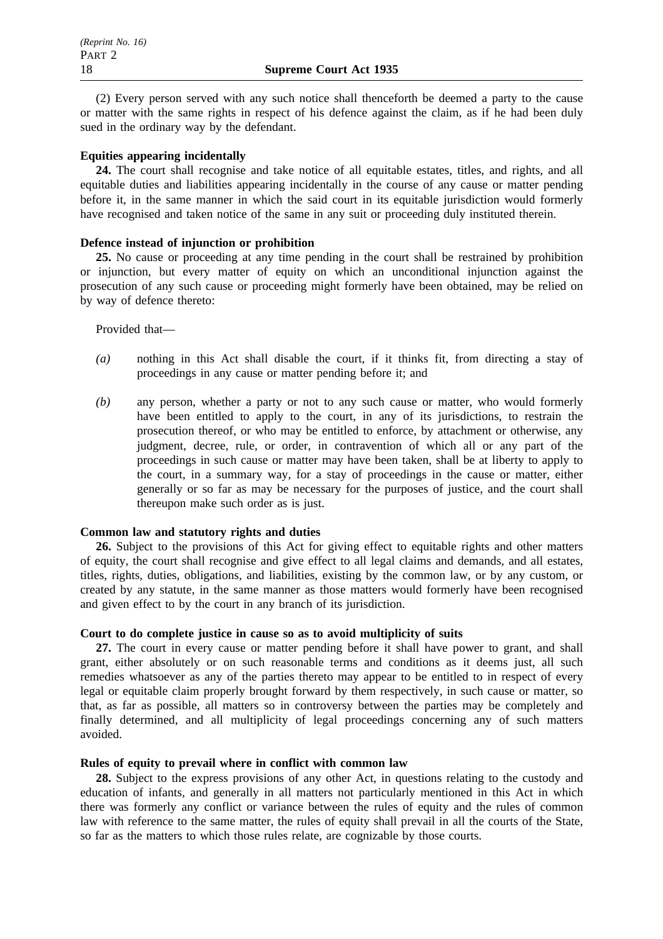(2) Every person served with any such notice shall thenceforth be deemed a party to the cause or matter with the same rights in respect of his defence against the claim, as if he had been duly sued in the ordinary way by the defendant.

### **Equities appearing incidentally**

**24.** The court shall recognise and take notice of all equitable estates, titles, and rights, and all equitable duties and liabilities appearing incidentally in the course of any cause or matter pending before it, in the same manner in which the said court in its equitable jurisdiction would formerly have recognised and taken notice of the same in any suit or proceeding duly instituted therein.

### **Defence instead of injunction or prohibition**

**25.** No cause or proceeding at any time pending in the court shall be restrained by prohibition or injunction, but every matter of equity on which an unconditional injunction against the prosecution of any such cause or proceeding might formerly have been obtained, may be relied on by way of defence thereto:

### Provided that—

- *(a)* nothing in this Act shall disable the court, if it thinks fit, from directing a stay of proceedings in any cause or matter pending before it; and
- *(b)* any person, whether a party or not to any such cause or matter, who would formerly have been entitled to apply to the court, in any of its jurisdictions, to restrain the prosecution thereof, or who may be entitled to enforce, by attachment or otherwise, any judgment, decree, rule, or order, in contravention of which all or any part of the proceedings in such cause or matter may have been taken, shall be at liberty to apply to the court, in a summary way, for a stay of proceedings in the cause or matter, either generally or so far as may be necessary for the purposes of justice, and the court shall thereupon make such order as is just.

### **Common law and statutory rights and duties**

**26.** Subject to the provisions of this Act for giving effect to equitable rights and other matters of equity, the court shall recognise and give effect to all legal claims and demands, and all estates, titles, rights, duties, obligations, and liabilities, existing by the common law, or by any custom, or created by any statute, in the same manner as those matters would formerly have been recognised and given effect to by the court in any branch of its jurisdiction.

### **Court to do complete justice in cause so as to avoid multiplicity of suits**

**27.** The court in every cause or matter pending before it shall have power to grant, and shall grant, either absolutely or on such reasonable terms and conditions as it deems just, all such remedies whatsoever as any of the parties thereto may appear to be entitled to in respect of every legal or equitable claim properly brought forward by them respectively, in such cause or matter, so that, as far as possible, all matters so in controversy between the parties may be completely and finally determined, and all multiplicity of legal proceedings concerning any of such matters avoided.

### **Rules of equity to prevail where in conflict with common law**

**28.** Subject to the express provisions of any other Act, in questions relating to the custody and education of infants, and generally in all matters not particularly mentioned in this Act in which there was formerly any conflict or variance between the rules of equity and the rules of common law with reference to the same matter, the rules of equity shall prevail in all the courts of the State, so far as the matters to which those rules relate, are cognizable by those courts.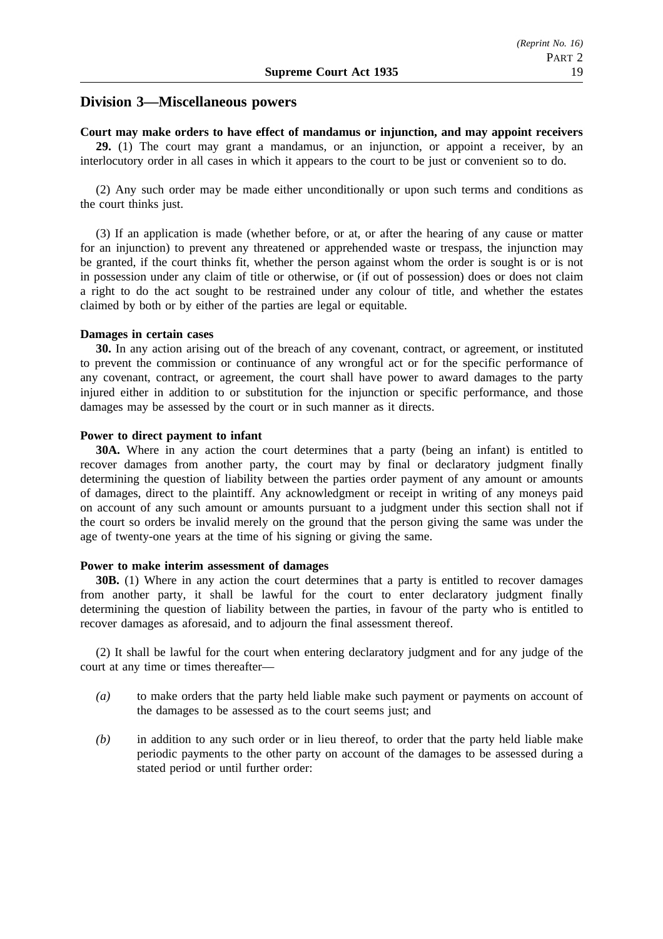### **Division 3—Miscellaneous powers**

#### **Court may make orders to have effect of mandamus or injunction, and may appoint receivers**

**29.** (1) The court may grant a mandamus, or an injunction, or appoint a receiver, by an interlocutory order in all cases in which it appears to the court to be just or convenient so to do.

(2) Any such order may be made either unconditionally or upon such terms and conditions as the court thinks just.

(3) If an application is made (whether before, or at, or after the hearing of any cause or matter for an injunction) to prevent any threatened or apprehended waste or trespass, the injunction may be granted, if the court thinks fit, whether the person against whom the order is sought is or is not in possession under any claim of title or otherwise, or (if out of possession) does or does not claim a right to do the act sought to be restrained under any colour of title, and whether the estates claimed by both or by either of the parties are legal or equitable.

#### **Damages in certain cases**

**30.** In any action arising out of the breach of any covenant, contract, or agreement, or instituted to prevent the commission or continuance of any wrongful act or for the specific performance of any covenant, contract, or agreement, the court shall have power to award damages to the party injured either in addition to or substitution for the injunction or specific performance, and those damages may be assessed by the court or in such manner as it directs.

#### **Power to direct payment to infant**

**30A.** Where in any action the court determines that a party (being an infant) is entitled to recover damages from another party, the court may by final or declaratory judgment finally determining the question of liability between the parties order payment of any amount or amounts of damages, direct to the plaintiff. Any acknowledgment or receipt in writing of any moneys paid on account of any such amount or amounts pursuant to a judgment under this section shall not if the court so orders be invalid merely on the ground that the person giving the same was under the age of twenty-one years at the time of his signing or giving the same.

### **Power to make interim assessment of damages**

**30B.** (1) Where in any action the court determines that a party is entitled to recover damages from another party, it shall be lawful for the court to enter declaratory judgment finally determining the question of liability between the parties, in favour of the party who is entitled to recover damages as aforesaid, and to adjourn the final assessment thereof.

(2) It shall be lawful for the court when entering declaratory judgment and for any judge of the court at any time or times thereafter—

- *(a)* to make orders that the party held liable make such payment or payments on account of the damages to be assessed as to the court seems just; and
- *(b)* in addition to any such order or in lieu thereof, to order that the party held liable make periodic payments to the other party on account of the damages to be assessed during a stated period or until further order: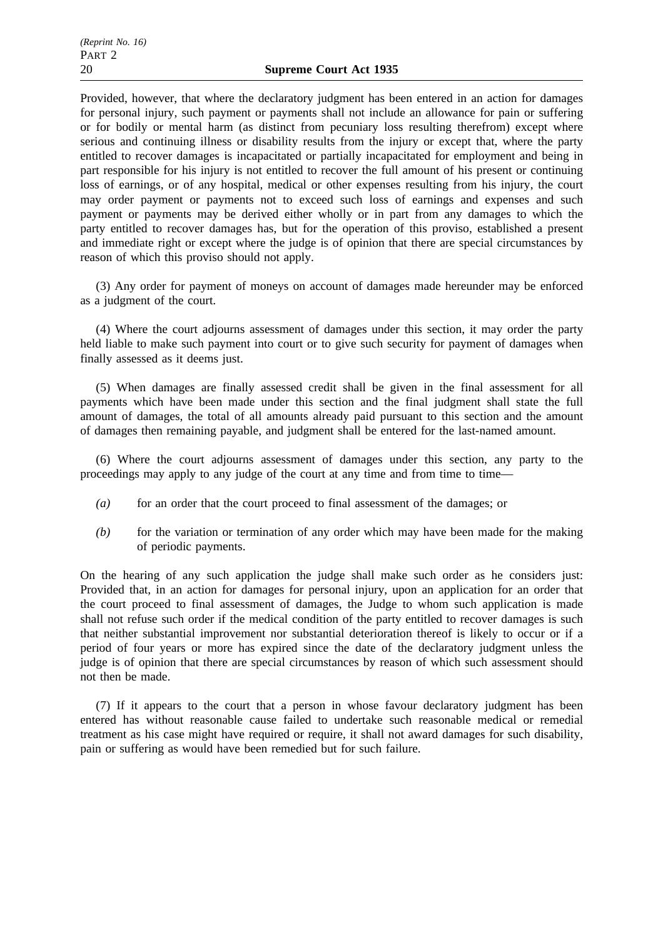Provided, however, that where the declaratory judgment has been entered in an action for damages for personal injury, such payment or payments shall not include an allowance for pain or suffering or for bodily or mental harm (as distinct from pecuniary loss resulting therefrom) except where serious and continuing illness or disability results from the injury or except that, where the party entitled to recover damages is incapacitated or partially incapacitated for employment and being in part responsible for his injury is not entitled to recover the full amount of his present or continuing loss of earnings, or of any hospital, medical or other expenses resulting from his injury, the court may order payment or payments not to exceed such loss of earnings and expenses and such payment or payments may be derived either wholly or in part from any damages to which the party entitled to recover damages has, but for the operation of this proviso, established a present and immediate right or except where the judge is of opinion that there are special circumstances by reason of which this proviso should not apply.

(3) Any order for payment of moneys on account of damages made hereunder may be enforced as a judgment of the court.

(4) Where the court adjourns assessment of damages under this section, it may order the party held liable to make such payment into court or to give such security for payment of damages when finally assessed as it deems just.

(5) When damages are finally assessed credit shall be given in the final assessment for all payments which have been made under this section and the final judgment shall state the full amount of damages, the total of all amounts already paid pursuant to this section and the amount of damages then remaining payable, and judgment shall be entered for the last-named amount.

(6) Where the court adjourns assessment of damages under this section, any party to the proceedings may apply to any judge of the court at any time and from time to time—

- *(a)* for an order that the court proceed to final assessment of the damages; or
- *(b)* for the variation or termination of any order which may have been made for the making of periodic payments.

On the hearing of any such application the judge shall make such order as he considers just: Provided that, in an action for damages for personal injury, upon an application for an order that the court proceed to final assessment of damages, the Judge to whom such application is made shall not refuse such order if the medical condition of the party entitled to recover damages is such that neither substantial improvement nor substantial deterioration thereof is likely to occur or if a period of four years or more has expired since the date of the declaratory judgment unless the judge is of opinion that there are special circumstances by reason of which such assessment should not then be made.

(7) If it appears to the court that a person in whose favour declaratory judgment has been entered has without reasonable cause failed to undertake such reasonable medical or remedial treatment as his case might have required or require, it shall not award damages for such disability, pain or suffering as would have been remedied but for such failure.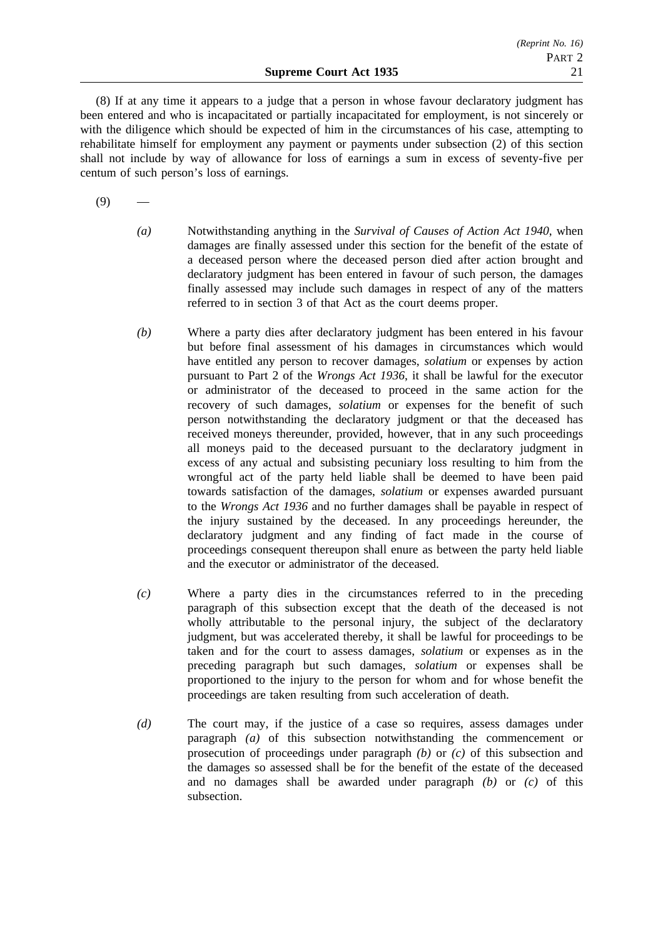(8) If at any time it appears to a judge that a person in whose favour declaratory judgment has been entered and who is incapacitated or partially incapacitated for employment, is not sincerely or with the diligence which should be expected of him in the circumstances of his case, attempting to rehabilitate himself for employment any payment or payments under subsection (2) of this section shall not include by way of allowance for loss of earnings a sum in excess of seventy-five per centum of such person's loss of earnings.

 $(9)$ 

- *(a)* Notwithstanding anything in the *Survival of Causes of Action Act 1940*, when damages are finally assessed under this section for the benefit of the estate of a deceased person where the deceased person died after action brought and declaratory judgment has been entered in favour of such person, the damages finally assessed may include such damages in respect of any of the matters referred to in section 3 of that Act as the court deems proper.
- *(b)* Where a party dies after declaratory judgment has been entered in his favour but before final assessment of his damages in circumstances which would have entitled any person to recover damages, *solatium* or expenses by action pursuant to Part 2 of the *Wrongs Act 1936*, it shall be lawful for the executor or administrator of the deceased to proceed in the same action for the recovery of such damages, *solatium* or expenses for the benefit of such person notwithstanding the declaratory judgment or that the deceased has received moneys thereunder, provided, however, that in any such proceedings all moneys paid to the deceased pursuant to the declaratory judgment in excess of any actual and subsisting pecuniary loss resulting to him from the wrongful act of the party held liable shall be deemed to have been paid towards satisfaction of the damages, *solatium* or expenses awarded pursuant to the *Wrongs Act 1936* and no further damages shall be payable in respect of the injury sustained by the deceased. In any proceedings hereunder, the declaratory judgment and any finding of fact made in the course of proceedings consequent thereupon shall enure as between the party held liable and the executor or administrator of the deceased.
- *(c)* Where a party dies in the circumstances referred to in the preceding paragraph of this subsection except that the death of the deceased is not wholly attributable to the personal injury, the subject of the declaratory judgment, but was accelerated thereby, it shall be lawful for proceedings to be taken and for the court to assess damages, *solatium* or expenses as in the preceding paragraph but such damages, *solatium* or expenses shall be proportioned to the injury to the person for whom and for whose benefit the proceedings are taken resulting from such acceleration of death.
- *(d)* The court may, if the justice of a case so requires, assess damages under paragraph *(a)* of this subsection notwithstanding the commencement or prosecution of proceedings under paragraph *(b)* or *(c)* of this subsection and the damages so assessed shall be for the benefit of the estate of the deceased and no damages shall be awarded under paragraph *(b)* or *(c)* of this subsection.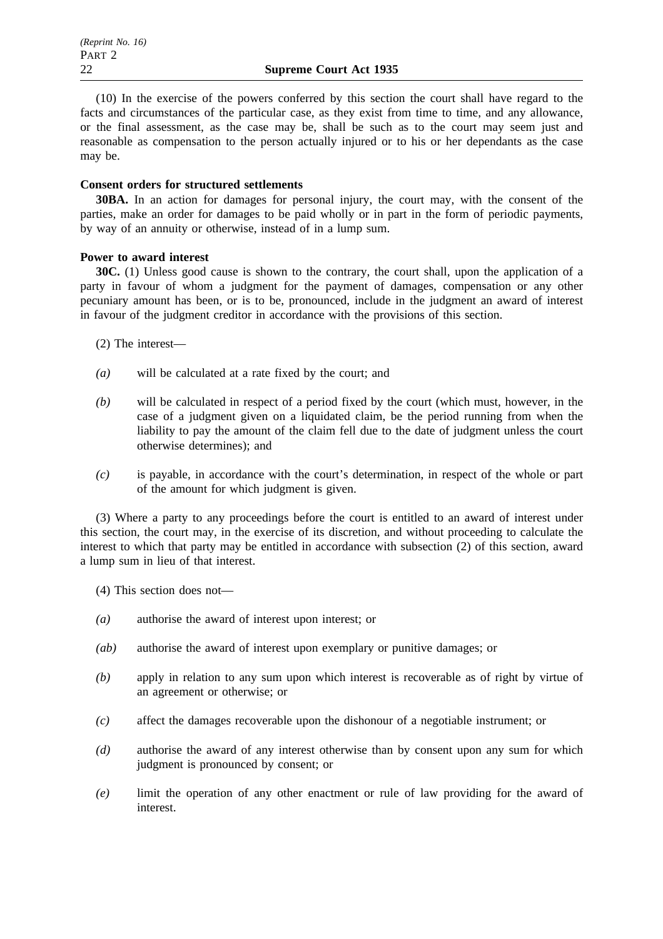(10) In the exercise of the powers conferred by this section the court shall have regard to the facts and circumstances of the particular case, as they exist from time to time, and any allowance, or the final assessment, as the case may be, shall be such as to the court may seem just and reasonable as compensation to the person actually injured or to his or her dependants as the case may be.

### **Consent orders for structured settlements**

**30BA.** In an action for damages for personal injury, the court may, with the consent of the parties, make an order for damages to be paid wholly or in part in the form of periodic payments, by way of an annuity or otherwise, instead of in a lump sum.

### **Power to award interest**

**30C.** (1) Unless good cause is shown to the contrary, the court shall, upon the application of a party in favour of whom a judgment for the payment of damages, compensation or any other pecuniary amount has been, or is to be, pronounced, include in the judgment an award of interest in favour of the judgment creditor in accordance with the provisions of this section.

- (2) The interest—
- *(a)* will be calculated at a rate fixed by the court; and
- *(b)* will be calculated in respect of a period fixed by the court (which must, however, in the case of a judgment given on a liquidated claim, be the period running from when the liability to pay the amount of the claim fell due to the date of judgment unless the court otherwise determines); and
- *(c)* is payable, in accordance with the court's determination, in respect of the whole or part of the amount for which judgment is given.

(3) Where a party to any proceedings before the court is entitled to an award of interest under this section, the court may, in the exercise of its discretion, and without proceeding to calculate the interest to which that party may be entitled in accordance with subsection (2) of this section, award a lump sum in lieu of that interest.

(4) This section does not—

- *(a)* authorise the award of interest upon interest; or
- *(ab)* authorise the award of interest upon exemplary or punitive damages; or
- *(b)* apply in relation to any sum upon which interest is recoverable as of right by virtue of an agreement or otherwise; or
- *(c)* affect the damages recoverable upon the dishonour of a negotiable instrument; or
- *(d)* authorise the award of any interest otherwise than by consent upon any sum for which judgment is pronounced by consent; or
- *(e)* limit the operation of any other enactment or rule of law providing for the award of interest.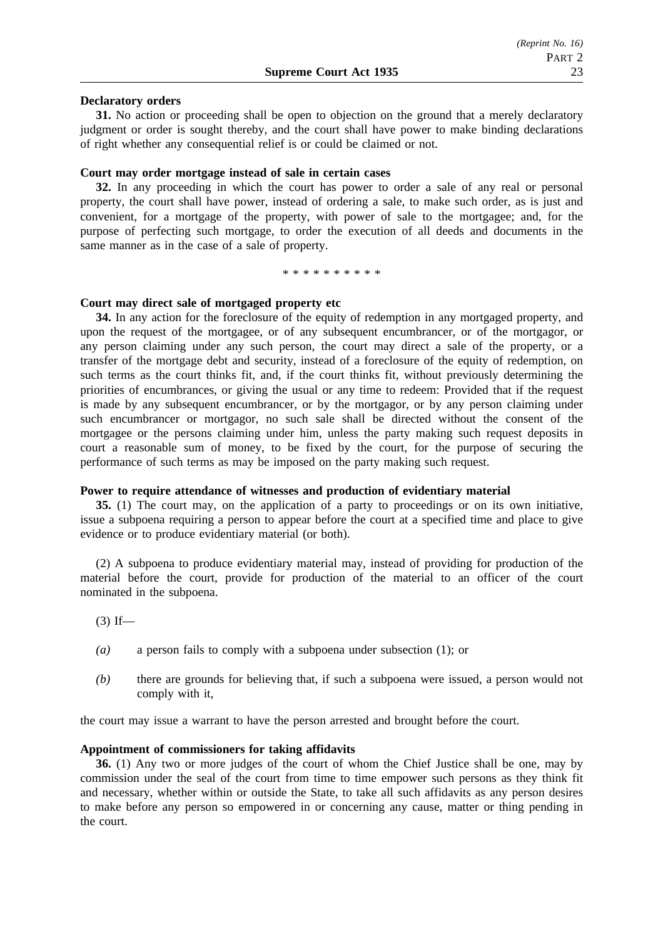#### **Declaratory orders**

**31.** No action or proceeding shall be open to objection on the ground that a merely declaratory judgment or order is sought thereby, and the court shall have power to make binding declarations of right whether any consequential relief is or could be claimed or not.

#### **Court may order mortgage instead of sale in certain cases**

**32.** In any proceeding in which the court has power to order a sale of any real or personal property, the court shall have power, instead of ordering a sale, to make such order, as is just and convenient, for a mortgage of the property, with power of sale to the mortgagee; and, for the purpose of perfecting such mortgage, to order the execution of all deeds and documents in the same manner as in the case of a sale of property.

\*\*\*\*\*\*\*\*\*\*

#### **Court may direct sale of mortgaged property etc**

**34.** In any action for the foreclosure of the equity of redemption in any mortgaged property, and upon the request of the mortgagee, or of any subsequent encumbrancer, or of the mortgagor, or any person claiming under any such person, the court may direct a sale of the property, or a transfer of the mortgage debt and security, instead of a foreclosure of the equity of redemption, on such terms as the court thinks fit, and, if the court thinks fit, without previously determining the priorities of encumbrances, or giving the usual or any time to redeem: Provided that if the request is made by any subsequent encumbrancer, or by the mortgagor, or by any person claiming under such encumbrancer or mortgagor, no such sale shall be directed without the consent of the mortgagee or the persons claiming under him, unless the party making such request deposits in court a reasonable sum of money, to be fixed by the court, for the purpose of securing the performance of such terms as may be imposed on the party making such request.

#### **Power to require attendance of witnesses and production of evidentiary material**

**35.** (1) The court may, on the application of a party to proceedings or on its own initiative, issue a subpoena requiring a person to appear before the court at a specified time and place to give evidence or to produce evidentiary material (or both).

(2) A subpoena to produce evidentiary material may, instead of providing for production of the material before the court, provide for production of the material to an officer of the court nominated in the subpoena.

 $(3)$  If—

- *(a)* a person fails to comply with a subpoena under subsection (1); or
- *(b)* there are grounds for believing that, if such a subpoena were issued, a person would not comply with it,

the court may issue a warrant to have the person arrested and brought before the court.

### **Appointment of commissioners for taking affidavits**

**36.** (1) Any two or more judges of the court of whom the Chief Justice shall be one, may by commission under the seal of the court from time to time empower such persons as they think fit and necessary, whether within or outside the State, to take all such affidavits as any person desires to make before any person so empowered in or concerning any cause, matter or thing pending in the court.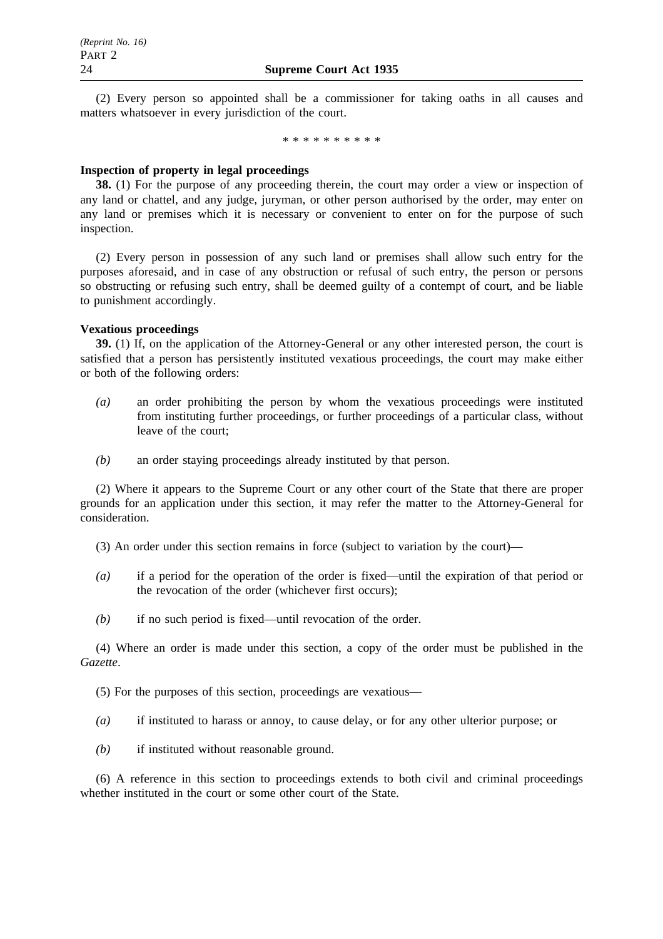(2) Every person so appointed shall be a commissioner for taking oaths in all causes and matters whatsoever in every jurisdiction of the court.

\*\*\*\*\*\*\*\*\*\*

### **Inspection of property in legal proceedings**

**38.** (1) For the purpose of any proceeding therein, the court may order a view or inspection of any land or chattel, and any judge, juryman, or other person authorised by the order, may enter on any land or premises which it is necessary or convenient to enter on for the purpose of such inspection.

(2) Every person in possession of any such land or premises shall allow such entry for the purposes aforesaid, and in case of any obstruction or refusal of such entry, the person or persons so obstructing or refusing such entry, shall be deemed guilty of a contempt of court, and be liable to punishment accordingly.

### **Vexatious proceedings**

**39.** (1) If, on the application of the Attorney-General or any other interested person, the court is satisfied that a person has persistently instituted vexatious proceedings, the court may make either or both of the following orders:

- *(a)* an order prohibiting the person by whom the vexatious proceedings were instituted from instituting further proceedings, or further proceedings of a particular class, without leave of the court;
- *(b)* an order staying proceedings already instituted by that person.

(2) Where it appears to the Supreme Court or any other court of the State that there are proper grounds for an application under this section, it may refer the matter to the Attorney-General for consideration.

(3) An order under this section remains in force (subject to variation by the court)—

- *(a)* if a period for the operation of the order is fixed—until the expiration of that period or the revocation of the order (whichever first occurs);
- *(b)* if no such period is fixed—until revocation of the order.

(4) Where an order is made under this section, a copy of the order must be published in the *Gazette*.

(5) For the purposes of this section, proceedings are vexatious—

- *(a)* if instituted to harass or annoy, to cause delay, or for any other ulterior purpose; or
- *(b)* if instituted without reasonable ground.

(6) A reference in this section to proceedings extends to both civil and criminal proceedings whether instituted in the court or some other court of the State.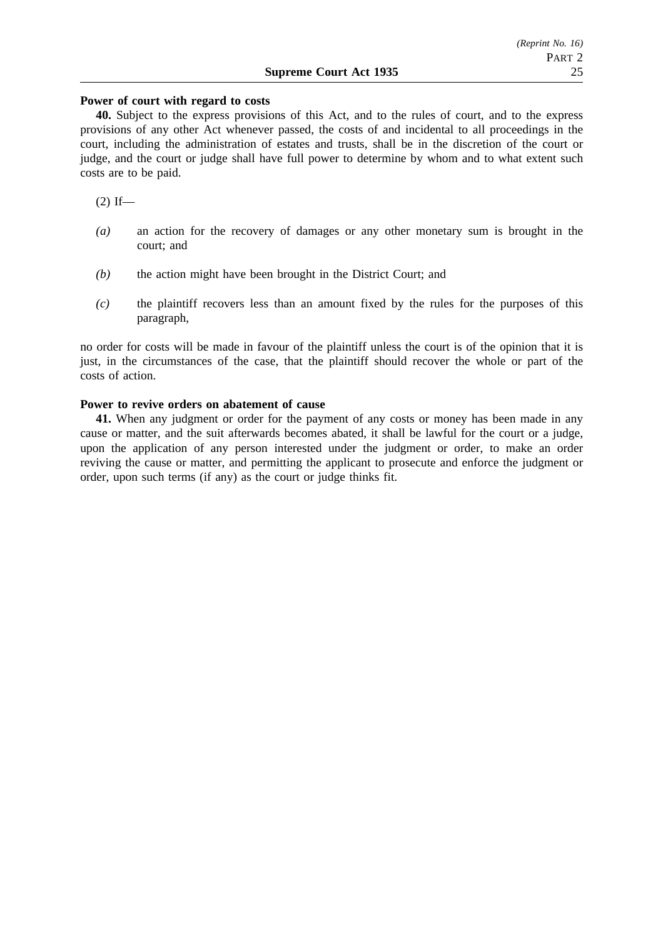### **Power of court with regard to costs**

**40.** Subject to the express provisions of this Act, and to the rules of court, and to the express provisions of any other Act whenever passed, the costs of and incidental to all proceedings in the court, including the administration of estates and trusts, shall be in the discretion of the court or judge, and the court or judge shall have full power to determine by whom and to what extent such costs are to be paid.

 $(2)$  If—

- *(a)* an action for the recovery of damages or any other monetary sum is brought in the court; and
- *(b)* the action might have been brought in the District Court; and
- *(c)* the plaintiff recovers less than an amount fixed by the rules for the purposes of this paragraph,

no order for costs will be made in favour of the plaintiff unless the court is of the opinion that it is just, in the circumstances of the case, that the plaintiff should recover the whole or part of the costs of action.

### **Power to revive orders on abatement of cause**

**41.** When any judgment or order for the payment of any costs or money has been made in any cause or matter, and the suit afterwards becomes abated, it shall be lawful for the court or a judge, upon the application of any person interested under the judgment or order, to make an order reviving the cause or matter, and permitting the applicant to prosecute and enforce the judgment or order, upon such terms (if any) as the court or judge thinks fit.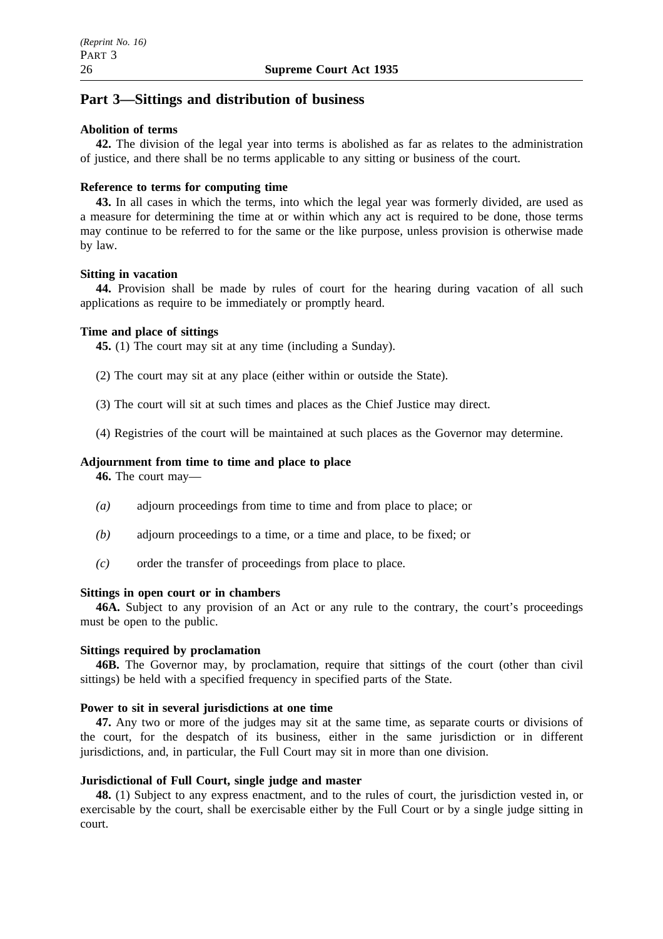# **Part 3—Sittings and distribution of business**

### **Abolition of terms**

**42.** The division of the legal year into terms is abolished as far as relates to the administration of justice, and there shall be no terms applicable to any sitting or business of the court.

### **Reference to terms for computing time**

**43.** In all cases in which the terms, into which the legal year was formerly divided, are used as a measure for determining the time at or within which any act is required to be done, those terms may continue to be referred to for the same or the like purpose, unless provision is otherwise made by law.

### **Sitting in vacation**

**44.** Provision shall be made by rules of court for the hearing during vacation of all such applications as require to be immediately or promptly heard.

### **Time and place of sittings**

**45.** (1) The court may sit at any time (including a Sunday).

- (2) The court may sit at any place (either within or outside the State).
- (3) The court will sit at such times and places as the Chief Justice may direct.
- (4) Registries of the court will be maintained at such places as the Governor may determine.

### **Adjournment from time to time and place to place**

**46.** The court may—

- *(a)* adjourn proceedings from time to time and from place to place; or
- *(b)* adjourn proceedings to a time, or a time and place, to be fixed; or
- *(c)* order the transfer of proceedings from place to place.

### **Sittings in open court or in chambers**

**46A.** Subject to any provision of an Act or any rule to the contrary, the court's proceedings must be open to the public.

### **Sittings required by proclamation**

**46B.** The Governor may, by proclamation, require that sittings of the court (other than civil sittings) be held with a specified frequency in specified parts of the State.

### **Power to sit in several jurisdictions at one time**

**47.** Any two or more of the judges may sit at the same time, as separate courts or divisions of the court, for the despatch of its business, either in the same jurisdiction or in different jurisdictions, and, in particular, the Full Court may sit in more than one division.

### **Jurisdictional of Full Court, single judge and master**

**48.** (1) Subject to any express enactment, and to the rules of court, the jurisdiction vested in, or exercisable by the court, shall be exercisable either by the Full Court or by a single judge sitting in court.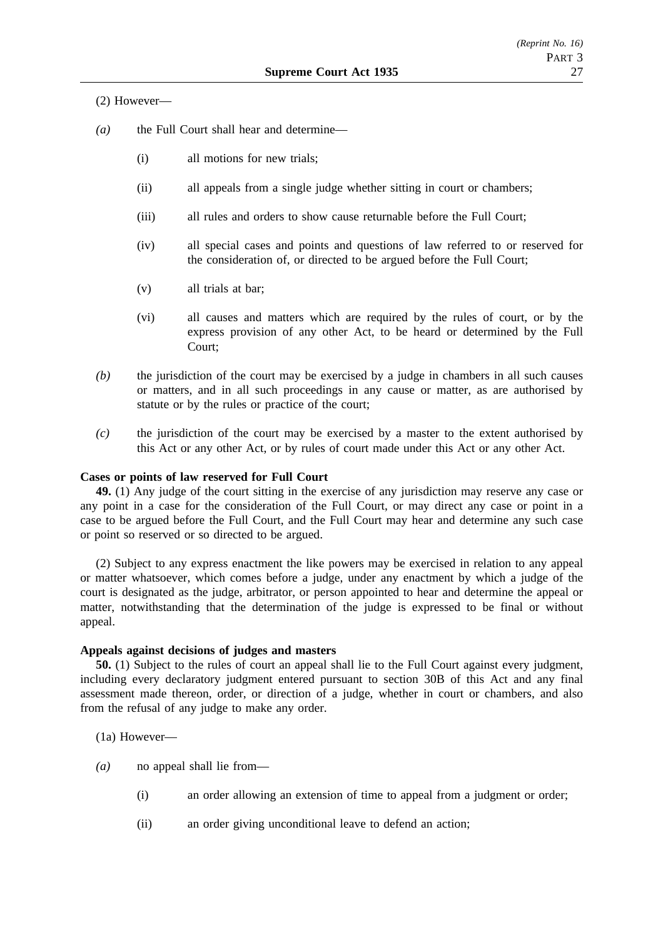### (2) However—

- *(a)* the Full Court shall hear and determine—
	- (i) all motions for new trials;
	- (ii) all appeals from a single judge whether sitting in court or chambers;
	- (iii) all rules and orders to show cause returnable before the Full Court;
	- (iv) all special cases and points and questions of law referred to or reserved for the consideration of, or directed to be argued before the Full Court;
	- (v) all trials at bar;
	- (vi) all causes and matters which are required by the rules of court, or by the express provision of any other Act, to be heard or determined by the Full Court;
- *(b)* the jurisdiction of the court may be exercised by a judge in chambers in all such causes or matters, and in all such proceedings in any cause or matter, as are authorised by statute or by the rules or practice of the court;
- *(c)* the jurisdiction of the court may be exercised by a master to the extent authorised by this Act or any other Act, or by rules of court made under this Act or any other Act.

### **Cases or points of law reserved for Full Court**

**49.** (1) Any judge of the court sitting in the exercise of any jurisdiction may reserve any case or any point in a case for the consideration of the Full Court, or may direct any case or point in a case to be argued before the Full Court, and the Full Court may hear and determine any such case or point so reserved or so directed to be argued.

(2) Subject to any express enactment the like powers may be exercised in relation to any appeal or matter whatsoever, which comes before a judge, under any enactment by which a judge of the court is designated as the judge, arbitrator, or person appointed to hear and determine the appeal or matter, notwithstanding that the determination of the judge is expressed to be final or without appeal.

### **Appeals against decisions of judges and masters**

**50.** (1) Subject to the rules of court an appeal shall lie to the Full Court against every judgment, including every declaratory judgment entered pursuant to section 30B of this Act and any final assessment made thereon, order, or direction of a judge, whether in court or chambers, and also from the refusal of any judge to make any order.

(1a) However—

- *(a)* no appeal shall lie from—
	- (i) an order allowing an extension of time to appeal from a judgment or order;
	- (ii) an order giving unconditional leave to defend an action;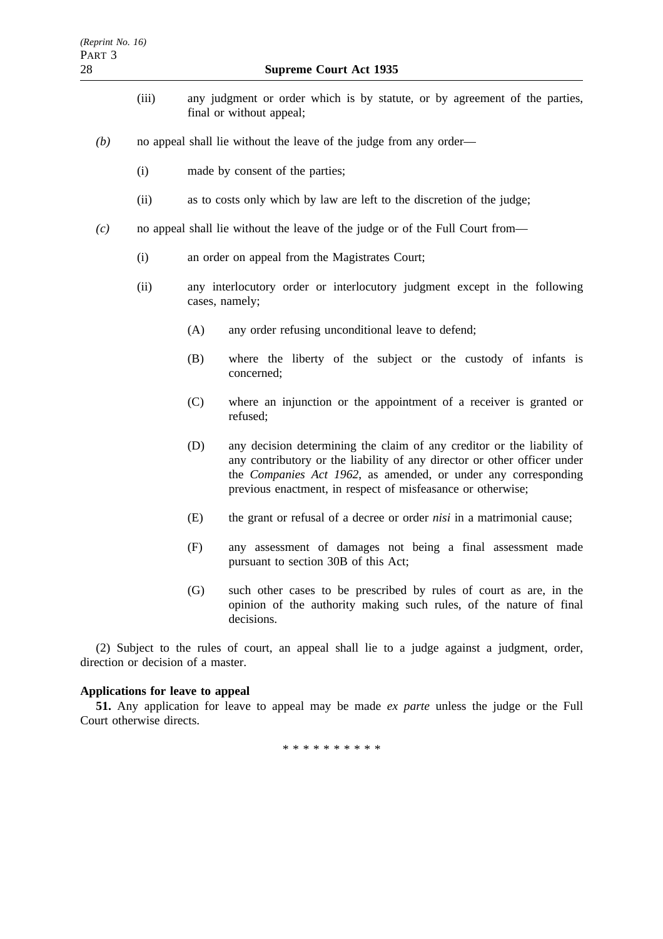- (iii) any judgment or order which is by statute, or by agreement of the parties, final or without appeal;
- *(b)* no appeal shall lie without the leave of the judge from any order—
	- (i) made by consent of the parties;
	- (ii) as to costs only which by law are left to the discretion of the judge;
- *(c)* no appeal shall lie without the leave of the judge or of the Full Court from—
	- (i) an order on appeal from the Magistrates Court;
	- (ii) any interlocutory order or interlocutory judgment except in the following cases, namely;
		- (A) any order refusing unconditional leave to defend;
		- (B) where the liberty of the subject or the custody of infants is concerned;
		- (C) where an injunction or the appointment of a receiver is granted or refused;
		- (D) any decision determining the claim of any creditor or the liability of any contributory or the liability of any director or other officer under the *Companies Act 1962*, as amended, or under any corresponding previous enactment, in respect of misfeasance or otherwise;
		- (E) the grant or refusal of a decree or order *nisi* in a matrimonial cause;
		- (F) any assessment of damages not being a final assessment made pursuant to section 30B of this Act;
		- (G) such other cases to be prescribed by rules of court as are, in the opinion of the authority making such rules, of the nature of final decisions.

(2) Subject to the rules of court, an appeal shall lie to a judge against a judgment, order, direction or decision of a master.

#### **Applications for leave to appeal**

**51.** Any application for leave to appeal may be made *ex parte* unless the judge or the Full Court otherwise directs.

\*\*\*\*\*\*\*\*\*\*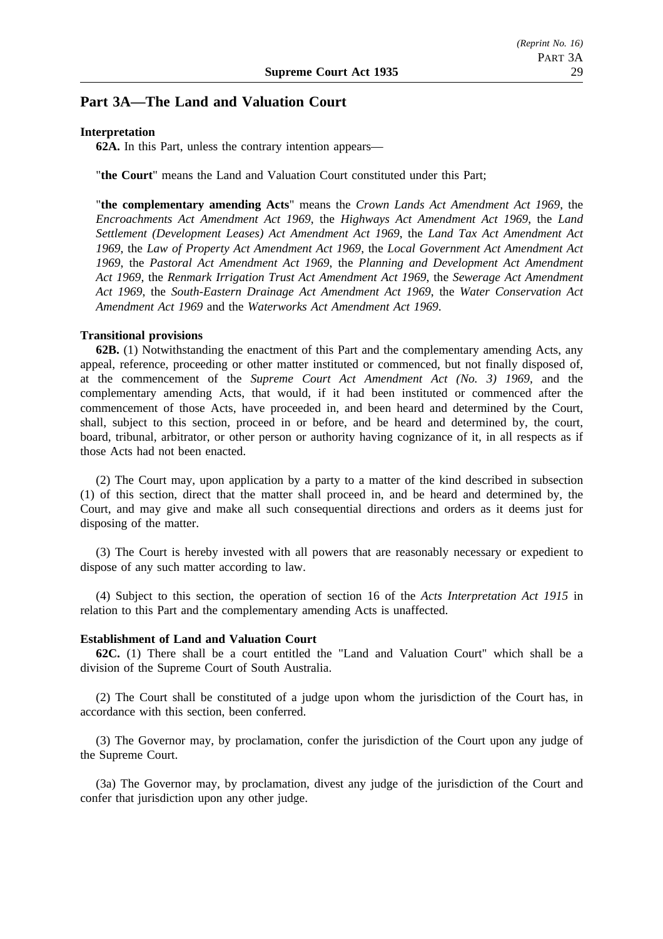# **Part 3A—The Land and Valuation Court**

#### **Interpretation**

**62A.** In this Part, unless the contrary intention appears—

"**the Court**" means the Land and Valuation Court constituted under this Part;

"**the complementary amending Acts**" means the *Crown Lands Act Amendment Act 1969*, the *Encroachments Act Amendment Act 1969*, the *Highways Act Amendment Act 1969*, the *Land Settlement (Development Leases) Act Amendment Act 1969*, the *Land Tax Act Amendment Act 1969*, the *Law of Property Act Amendment Act 1969*, the *Local Government Act Amendment Act 1969*, the *Pastoral Act Amendment Act 1969*, the *Planning and Development Act Amendment Act 1969*, the *Renmark Irrigation Trust Act Amendment Act 1969*, the *Sewerage Act Amendment Act 1969*, the *South-Eastern Drainage Act Amendment Act 1969*, the *Water Conservation Act Amendment Act 1969* and the *Waterworks Act Amendment Act 1969*.

### **Transitional provisions**

**62B.** (1) Notwithstanding the enactment of this Part and the complementary amending Acts, any appeal, reference, proceeding or other matter instituted or commenced, but not finally disposed of, at the commencement of the *Supreme Court Act Amendment Act (No. 3) 1969*, and the complementary amending Acts, that would, if it had been instituted or commenced after the commencement of those Acts, have proceeded in, and been heard and determined by the Court, shall, subject to this section, proceed in or before, and be heard and determined by, the court, board, tribunal, arbitrator, or other person or authority having cognizance of it, in all respects as if those Acts had not been enacted.

(2) The Court may, upon application by a party to a matter of the kind described in subsection (1) of this section, direct that the matter shall proceed in, and be heard and determined by, the Court, and may give and make all such consequential directions and orders as it deems just for disposing of the matter.

(3) The Court is hereby invested with all powers that are reasonably necessary or expedient to dispose of any such matter according to law.

(4) Subject to this section, the operation of section 16 of the *Acts Interpretation Act 1915* in relation to this Part and the complementary amending Acts is unaffected.

#### **Establishment of Land and Valuation Court**

**62C.** (1) There shall be a court entitled the "Land and Valuation Court" which shall be a division of the Supreme Court of South Australia.

(2) The Court shall be constituted of a judge upon whom the jurisdiction of the Court has, in accordance with this section, been conferred.

(3) The Governor may, by proclamation, confer the jurisdiction of the Court upon any judge of the Supreme Court.

(3a) The Governor may, by proclamation, divest any judge of the jurisdiction of the Court and confer that jurisdiction upon any other judge.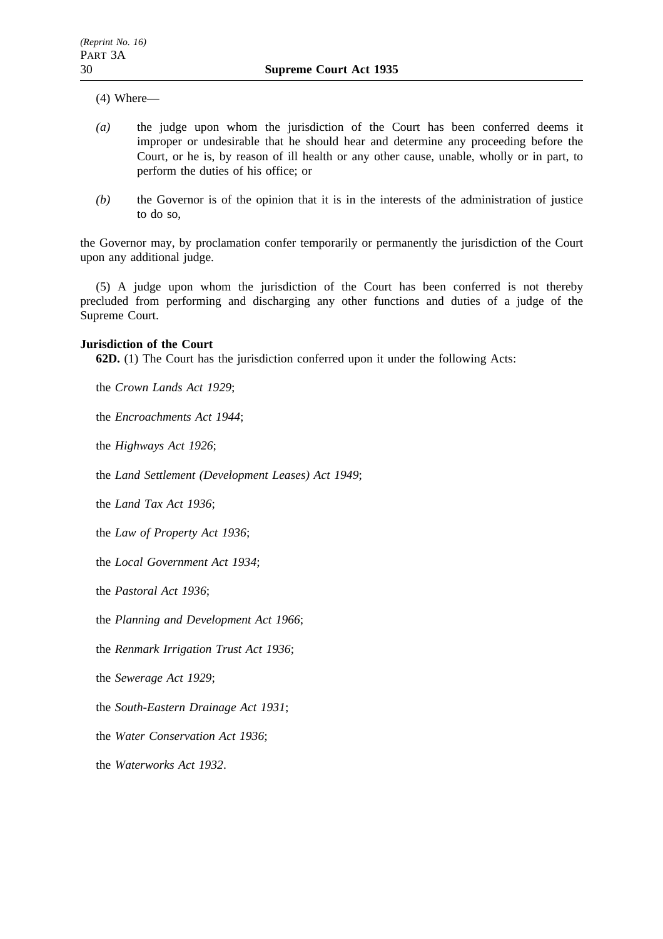- (4) Where—
- *(a)* the judge upon whom the jurisdiction of the Court has been conferred deems it improper or undesirable that he should hear and determine any proceeding before the Court, or he is, by reason of ill health or any other cause, unable, wholly or in part, to perform the duties of his office; or
- *(b)* the Governor is of the opinion that it is in the interests of the administration of justice to do so,

the Governor may, by proclamation confer temporarily or permanently the jurisdiction of the Court upon any additional judge.

(5) A judge upon whom the jurisdiction of the Court has been conferred is not thereby precluded from performing and discharging any other functions and duties of a judge of the Supreme Court.

### **Jurisdiction of the Court**

**62D.** (1) The Court has the jurisdiction conferred upon it under the following Acts:

the *Crown Lands Act 1929*;

the *Encroachments Act 1944*;

the *Highways Act 1926*;

the *Land Settlement (Development Leases) Act 1949*;

the *Land Tax Act 1936*;

the *Law of Property Act 1936*;

the *Local Government Act 1934*;

the *Pastoral Act 1936*;

the *Planning and Development Act 1966*;

the *Renmark Irrigation Trust Act 1936*;

the *Sewerage Act 1929*;

the *South-Eastern Drainage Act 1931*;

the *Water Conservation Act 1936*;

the *Waterworks Act 1932*.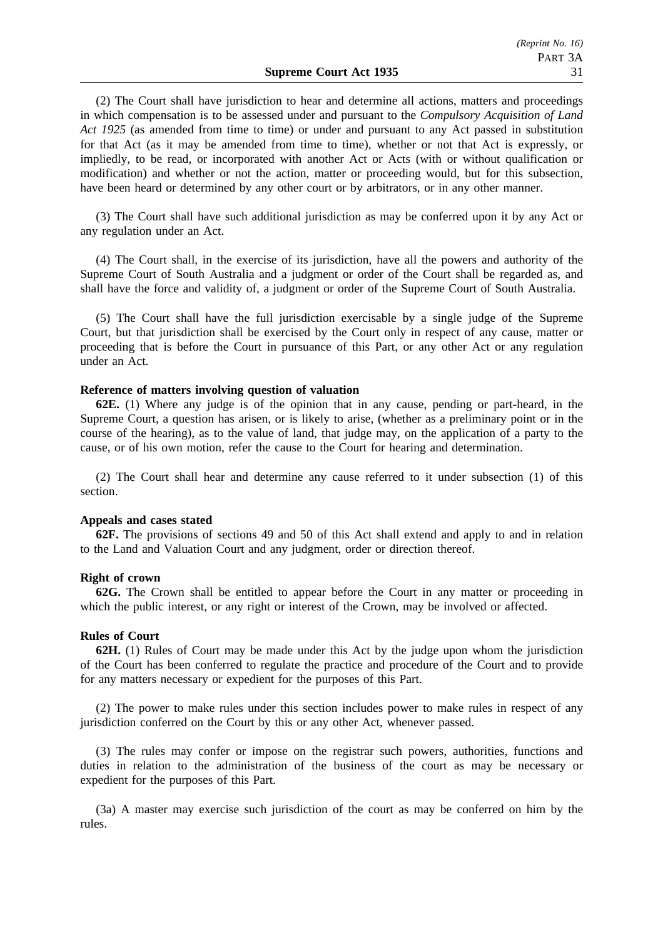(2) The Court shall have jurisdiction to hear and determine all actions, matters and proceedings in which compensation is to be assessed under and pursuant to the *Compulsory Acquisition of Land Act 1925* (as amended from time to time) or under and pursuant to any Act passed in substitution for that Act (as it may be amended from time to time), whether or not that Act is expressly, or impliedly, to be read, or incorporated with another Act or Acts (with or without qualification or modification) and whether or not the action, matter or proceeding would, but for this subsection, have been heard or determined by any other court or by arbitrators, or in any other manner.

(3) The Court shall have such additional jurisdiction as may be conferred upon it by any Act or any regulation under an Act.

(4) The Court shall, in the exercise of its jurisdiction, have all the powers and authority of the Supreme Court of South Australia and a judgment or order of the Court shall be regarded as, and shall have the force and validity of, a judgment or order of the Supreme Court of South Australia.

(5) The Court shall have the full jurisdiction exercisable by a single judge of the Supreme Court, but that jurisdiction shall be exercised by the Court only in respect of any cause, matter or proceeding that is before the Court in pursuance of this Part, or any other Act or any regulation under an Act.

#### **Reference of matters involving question of valuation**

**62E.** (1) Where any judge is of the opinion that in any cause, pending or part-heard, in the Supreme Court, a question has arisen, or is likely to arise, (whether as a preliminary point or in the course of the hearing), as to the value of land, that judge may, on the application of a party to the cause, or of his own motion, refer the cause to the Court for hearing and determination.

(2) The Court shall hear and determine any cause referred to it under subsection (1) of this section.

#### **Appeals and cases stated**

**62F.** The provisions of sections 49 and 50 of this Act shall extend and apply to and in relation to the Land and Valuation Court and any judgment, order or direction thereof.

#### **Right of crown**

**62G.** The Crown shall be entitled to appear before the Court in any matter or proceeding in which the public interest, or any right or interest of the Crown, may be involved or affected.

#### **Rules of Court**

**62H.** (1) Rules of Court may be made under this Act by the judge upon whom the jurisdiction of the Court has been conferred to regulate the practice and procedure of the Court and to provide for any matters necessary or expedient for the purposes of this Part.

(2) The power to make rules under this section includes power to make rules in respect of any jurisdiction conferred on the Court by this or any other Act, whenever passed.

(3) The rules may confer or impose on the registrar such powers, authorities, functions and duties in relation to the administration of the business of the court as may be necessary or expedient for the purposes of this Part.

(3a) A master may exercise such jurisdiction of the court as may be conferred on him by the rules.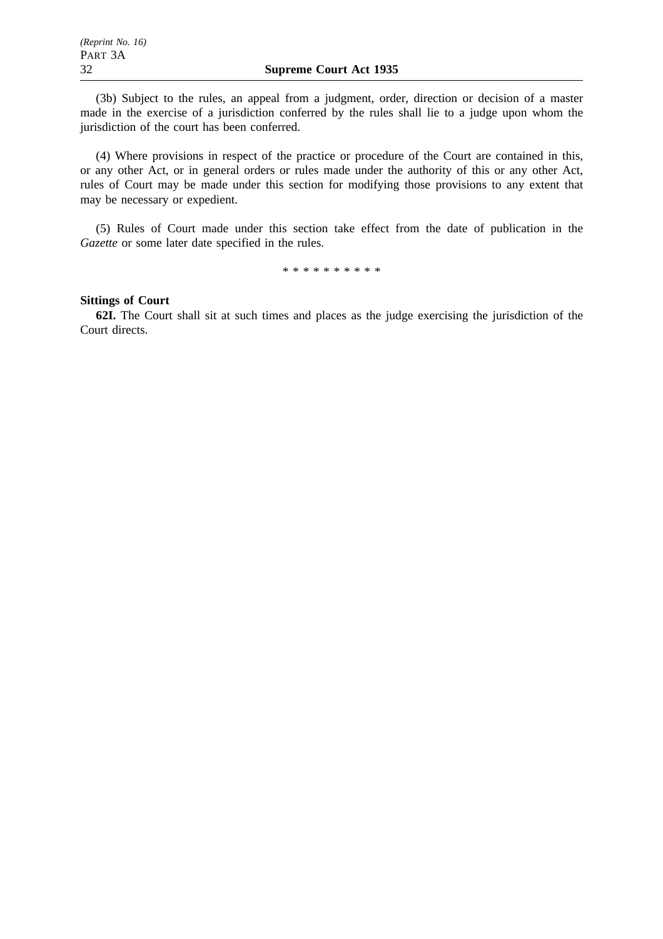(3b) Subject to the rules, an appeal from a judgment, order, direction or decision of a master made in the exercise of a jurisdiction conferred by the rules shall lie to a judge upon whom the jurisdiction of the court has been conferred.

(4) Where provisions in respect of the practice or procedure of the Court are contained in this, or any other Act, or in general orders or rules made under the authority of this or any other Act, rules of Court may be made under this section for modifying those provisions to any extent that may be necessary or expedient.

(5) Rules of Court made under this section take effect from the date of publication in the *Gazette* or some later date specified in the rules.

\*\*\*\*\*\*\*\*\*\*

### **Sittings of Court**

**62I.** The Court shall sit at such times and places as the judge exercising the jurisdiction of the Court directs.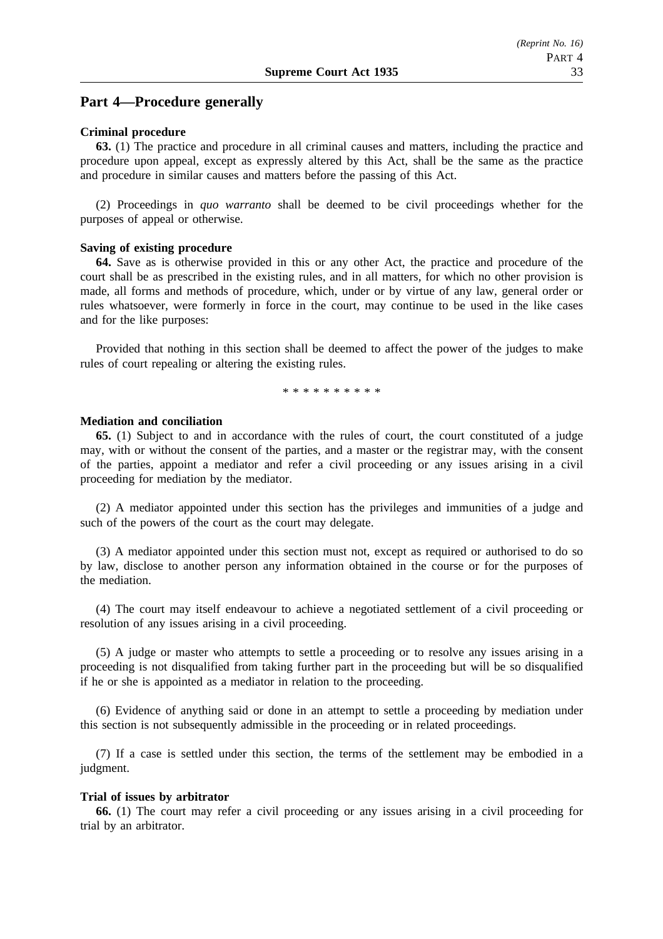### **Part 4—Procedure generally**

#### **Criminal procedure**

**63.** (1) The practice and procedure in all criminal causes and matters, including the practice and procedure upon appeal, except as expressly altered by this Act, shall be the same as the practice and procedure in similar causes and matters before the passing of this Act.

(2) Proceedings in *quo warranto* shall be deemed to be civil proceedings whether for the purposes of appeal or otherwise.

#### **Saving of existing procedure**

**64.** Save as is otherwise provided in this or any other Act, the practice and procedure of the court shall be as prescribed in the existing rules, and in all matters, for which no other provision is made, all forms and methods of procedure, which, under or by virtue of any law, general order or rules whatsoever, were formerly in force in the court, may continue to be used in the like cases and for the like purposes:

Provided that nothing in this section shall be deemed to affect the power of the judges to make rules of court repealing or altering the existing rules.

\*\*\*\*\*\*\*\*\*\*

#### **Mediation and conciliation**

**65.** (1) Subject to and in accordance with the rules of court, the court constituted of a judge may, with or without the consent of the parties, and a master or the registrar may, with the consent of the parties, appoint a mediator and refer a civil proceeding or any issues arising in a civil proceeding for mediation by the mediator.

(2) A mediator appointed under this section has the privileges and immunities of a judge and such of the powers of the court as the court may delegate.

(3) A mediator appointed under this section must not, except as required or authorised to do so by law, disclose to another person any information obtained in the course or for the purposes of the mediation.

(4) The court may itself endeavour to achieve a negotiated settlement of a civil proceeding or resolution of any issues arising in a civil proceeding.

(5) A judge or master who attempts to settle a proceeding or to resolve any issues arising in a proceeding is not disqualified from taking further part in the proceeding but will be so disqualified if he or she is appointed as a mediator in relation to the proceeding.

(6) Evidence of anything said or done in an attempt to settle a proceeding by mediation under this section is not subsequently admissible in the proceeding or in related proceedings.

(7) If a case is settled under this section, the terms of the settlement may be embodied in a judgment.

#### **Trial of issues by arbitrator**

**66.** (1) The court may refer a civil proceeding or any issues arising in a civil proceeding for trial by an arbitrator.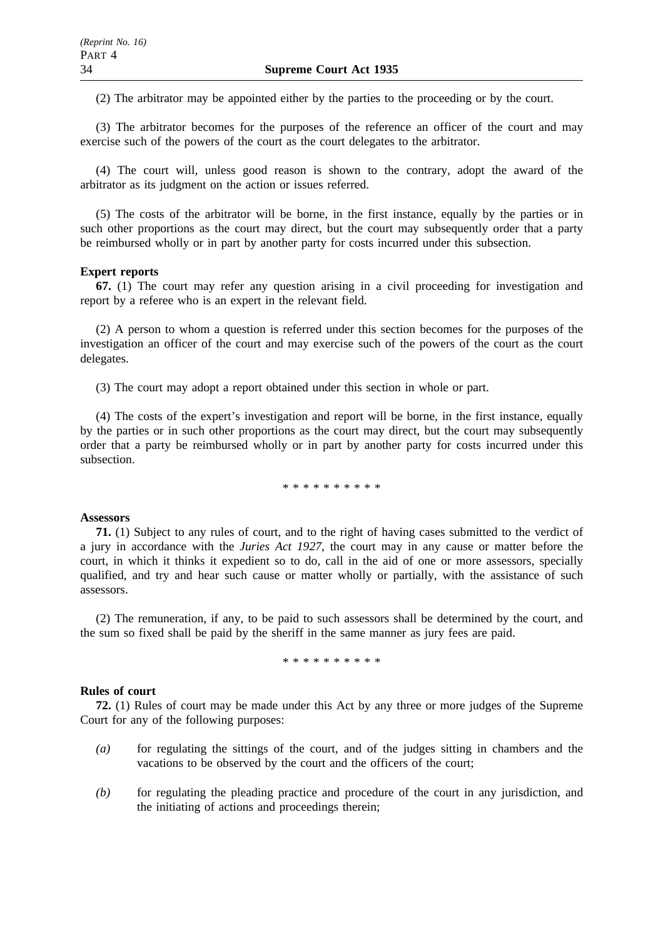(2) The arbitrator may be appointed either by the parties to the proceeding or by the court.

(3) The arbitrator becomes for the purposes of the reference an officer of the court and may exercise such of the powers of the court as the court delegates to the arbitrator.

(4) The court will, unless good reason is shown to the contrary, adopt the award of the arbitrator as its judgment on the action or issues referred.

(5) The costs of the arbitrator will be borne, in the first instance, equally by the parties or in such other proportions as the court may direct, but the court may subsequently order that a party be reimbursed wholly or in part by another party for costs incurred under this subsection.

#### **Expert reports**

**67.** (1) The court may refer any question arising in a civil proceeding for investigation and report by a referee who is an expert in the relevant field.

(2) A person to whom a question is referred under this section becomes for the purposes of the investigation an officer of the court and may exercise such of the powers of the court as the court delegates.

(3) The court may adopt a report obtained under this section in whole or part.

(4) The costs of the expert's investigation and report will be borne, in the first instance, equally by the parties or in such other proportions as the court may direct, but the court may subsequently order that a party be reimbursed wholly or in part by another party for costs incurred under this subsection.

\*\*\*\*\*\*\*\*\*\*

### **Assessors**

**71.** (1) Subject to any rules of court, and to the right of having cases submitted to the verdict of a jury in accordance with the *Juries Act 1927*, the court may in any cause or matter before the court, in which it thinks it expedient so to do, call in the aid of one or more assessors, specially qualified, and try and hear such cause or matter wholly or partially, with the assistance of such assessors.

(2) The remuneration, if any, to be paid to such assessors shall be determined by the court, and the sum so fixed shall be paid by the sheriff in the same manner as jury fees are paid.

\*\*\*\*\*\*\*\*\*\*

#### **Rules of court**

**72.** (1) Rules of court may be made under this Act by any three or more judges of the Supreme Court for any of the following purposes:

- *(a)* for regulating the sittings of the court, and of the judges sitting in chambers and the vacations to be observed by the court and the officers of the court;
- *(b)* for regulating the pleading practice and procedure of the court in any jurisdiction, and the initiating of actions and proceedings therein;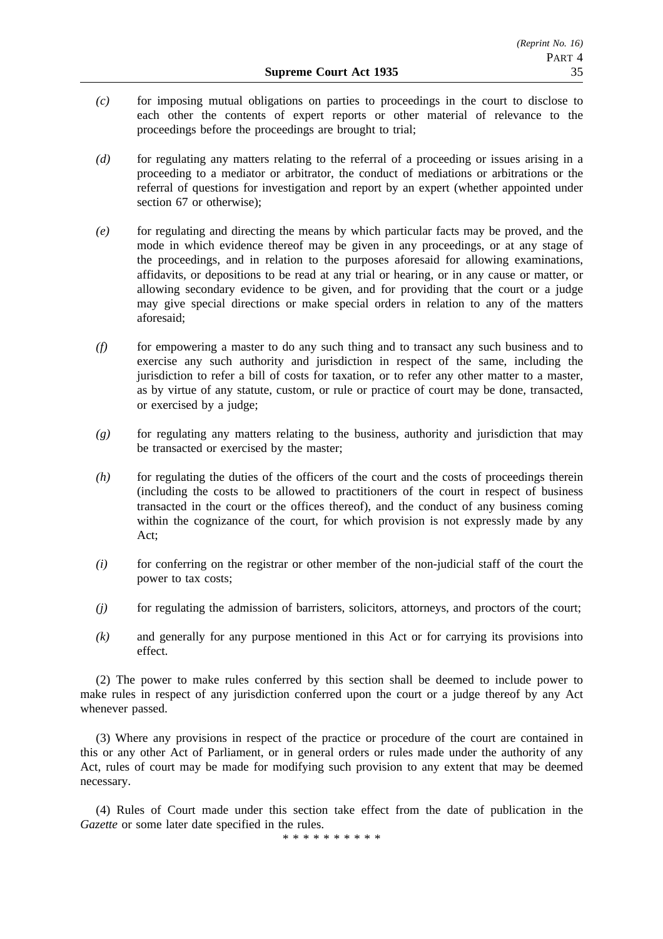- *(c)* for imposing mutual obligations on parties to proceedings in the court to disclose to each other the contents of expert reports or other material of relevance to the proceedings before the proceedings are brought to trial;
- *(d)* for regulating any matters relating to the referral of a proceeding or issues arising in a proceeding to a mediator or arbitrator, the conduct of mediations or arbitrations or the referral of questions for investigation and report by an expert (whether appointed under section 67 or otherwise);
- *(e)* for regulating and directing the means by which particular facts may be proved, and the mode in which evidence thereof may be given in any proceedings, or at any stage of the proceedings, and in relation to the purposes aforesaid for allowing examinations, affidavits, or depositions to be read at any trial or hearing, or in any cause or matter, or allowing secondary evidence to be given, and for providing that the court or a judge may give special directions or make special orders in relation to any of the matters aforesaid;
- *(f)* for empowering a master to do any such thing and to transact any such business and to exercise any such authority and jurisdiction in respect of the same, including the jurisdiction to refer a bill of costs for taxation, or to refer any other matter to a master, as by virtue of any statute, custom, or rule or practice of court may be done, transacted, or exercised by a judge;
- *(g)* for regulating any matters relating to the business, authority and jurisdiction that may be transacted or exercised by the master;
- *(h)* for regulating the duties of the officers of the court and the costs of proceedings therein (including the costs to be allowed to practitioners of the court in respect of business transacted in the court or the offices thereof), and the conduct of any business coming within the cognizance of the court, for which provision is not expressly made by any Act;
- *(i)* for conferring on the registrar or other member of the non-judicial staff of the court the power to tax costs;
- *(j)* for regulating the admission of barristers, solicitors, attorneys, and proctors of the court;
- *(k)* and generally for any purpose mentioned in this Act or for carrying its provisions into effect.

(2) The power to make rules conferred by this section shall be deemed to include power to make rules in respect of any jurisdiction conferred upon the court or a judge thereof by any Act whenever passed.

(3) Where any provisions in respect of the practice or procedure of the court are contained in this or any other Act of Parliament, or in general orders or rules made under the authority of any Act, rules of court may be made for modifying such provision to any extent that may be deemed necessary.

(4) Rules of Court made under this section take effect from the date of publication in the *Gazette* or some later date specified in the rules.

\*\*\*\*\*\*\*\*\*\*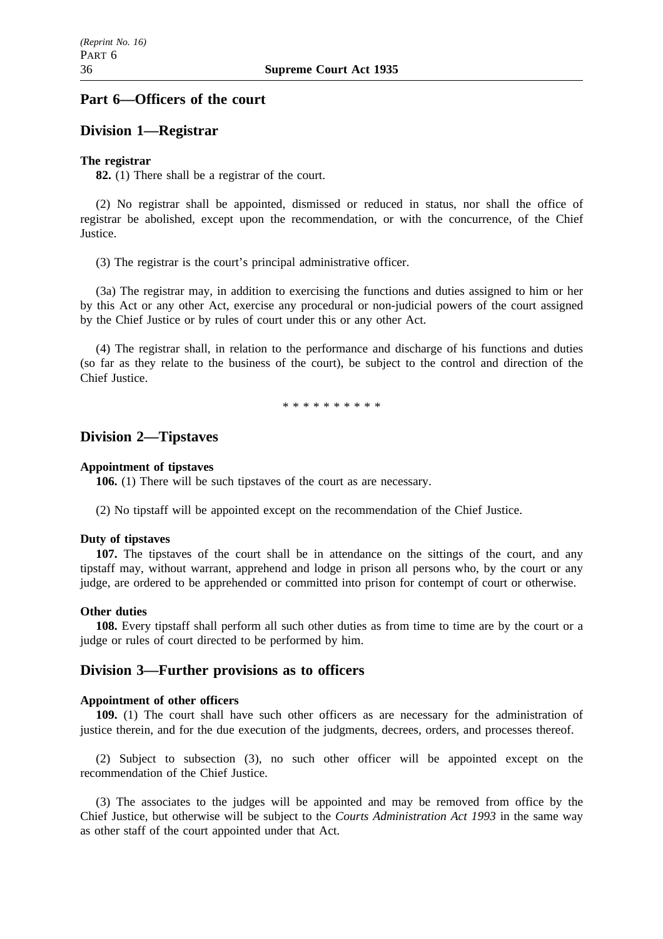# **Part 6—Officers of the court**

### **Division 1—Registrar**

### **The registrar**

**82.** (1) There shall be a registrar of the court.

(2) No registrar shall be appointed, dismissed or reduced in status, nor shall the office of registrar be abolished, except upon the recommendation, or with the concurrence, of the Chief Justice.

(3) The registrar is the court's principal administrative officer.

(3a) The registrar may, in addition to exercising the functions and duties assigned to him or her by this Act or any other Act, exercise any procedural or non-judicial powers of the court assigned by the Chief Justice or by rules of court under this or any other Act.

(4) The registrar shall, in relation to the performance and discharge of his functions and duties (so far as they relate to the business of the court), be subject to the control and direction of the Chief Justice.

\*\*\*\*\*\*\*\*\*\*

### **Division 2—Tipstaves**

#### **Appointment of tipstaves**

**106.** (1) There will be such tipstaves of the court as are necessary.

(2) No tipstaff will be appointed except on the recommendation of the Chief Justice.

#### **Duty of tipstaves**

**107.** The tipstaves of the court shall be in attendance on the sittings of the court, and any tipstaff may, without warrant, apprehend and lodge in prison all persons who, by the court or any judge, are ordered to be apprehended or committed into prison for contempt of court or otherwise.

#### **Other duties**

**108.** Every tipstaff shall perform all such other duties as from time to time are by the court or a judge or rules of court directed to be performed by him.

# **Division 3—Further provisions as to officers**

#### **Appointment of other officers**

**109.** (1) The court shall have such other officers as are necessary for the administration of justice therein, and for the due execution of the judgments, decrees, orders, and processes thereof.

(2) Subject to subsection (3), no such other officer will be appointed except on the recommendation of the Chief Justice.

(3) The associates to the judges will be appointed and may be removed from office by the Chief Justice, but otherwise will be subject to the *Courts Administration Act 1993* in the same way as other staff of the court appointed under that Act.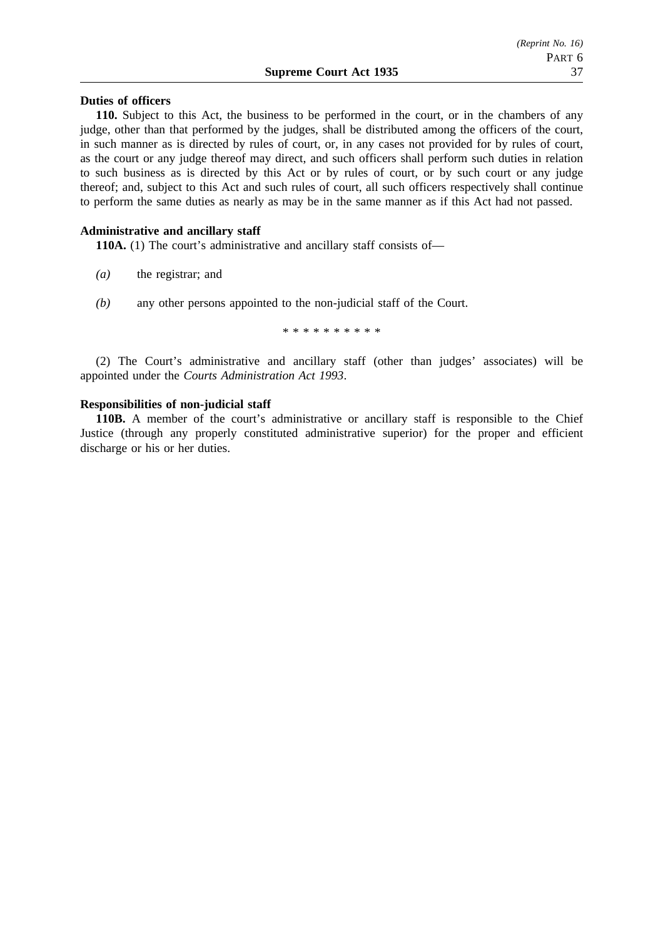#### **Supreme Court Act 1935** 37

### **Duties of officers**

**110.** Subject to this Act, the business to be performed in the court, or in the chambers of any judge, other than that performed by the judges, shall be distributed among the officers of the court, in such manner as is directed by rules of court, or, in any cases not provided for by rules of court, as the court or any judge thereof may direct, and such officers shall perform such duties in relation to such business as is directed by this Act or by rules of court, or by such court or any judge thereof; and, subject to this Act and such rules of court, all such officers respectively shall continue to perform the same duties as nearly as may be in the same manner as if this Act had not passed.

### **Administrative and ancillary staff**

**110A.** (1) The court's administrative and ancillary staff consists of—

- *(a)* the registrar; and
- *(b)* any other persons appointed to the non-judicial staff of the Court.

\*\*\*\*\*\*\*\*\*\*

(2) The Court's administrative and ancillary staff (other than judges' associates) will be appointed under the *Courts Administration Act 1993*.

#### **Responsibilities of non-judicial staff**

**110B.** A member of the court's administrative or ancillary staff is responsible to the Chief Justice (through any properly constituted administrative superior) for the proper and efficient discharge or his or her duties.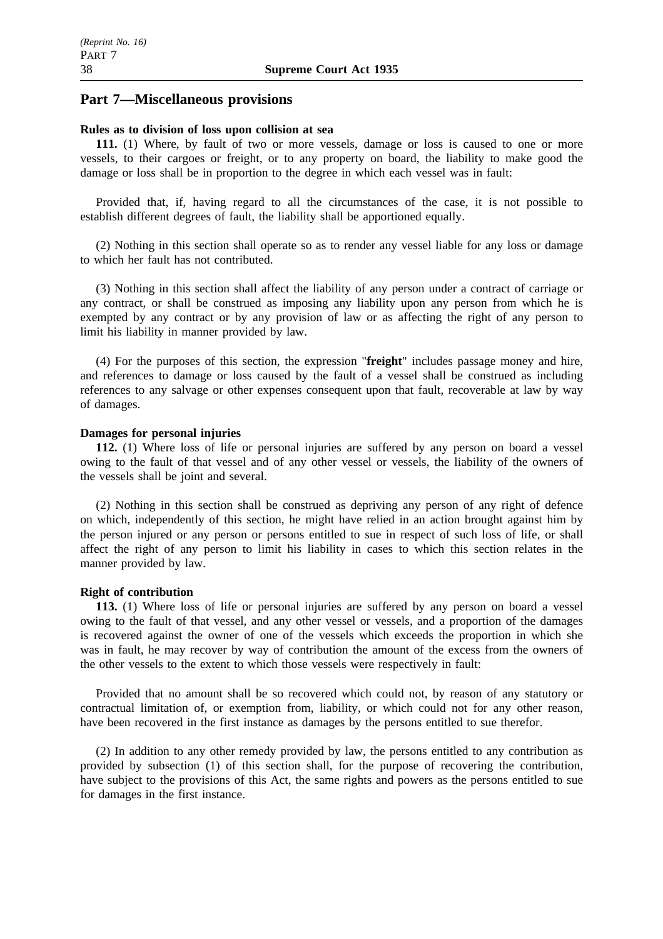# **Part 7—Miscellaneous provisions**

### **Rules as to division of loss upon collision at sea**

**111.** (1) Where, by fault of two or more vessels, damage or loss is caused to one or more vessels, to their cargoes or freight, or to any property on board, the liability to make good the damage or loss shall be in proportion to the degree in which each vessel was in fault:

Provided that, if, having regard to all the circumstances of the case, it is not possible to establish different degrees of fault, the liability shall be apportioned equally.

(2) Nothing in this section shall operate so as to render any vessel liable for any loss or damage to which her fault has not contributed.

(3) Nothing in this section shall affect the liability of any person under a contract of carriage or any contract, or shall be construed as imposing any liability upon any person from which he is exempted by any contract or by any provision of law or as affecting the right of any person to limit his liability in manner provided by law.

(4) For the purposes of this section, the expression "**freight**" includes passage money and hire, and references to damage or loss caused by the fault of a vessel shall be construed as including references to any salvage or other expenses consequent upon that fault, recoverable at law by way of damages.

### **Damages for personal injuries**

**112.** (1) Where loss of life or personal injuries are suffered by any person on board a vessel owing to the fault of that vessel and of any other vessel or vessels, the liability of the owners of the vessels shall be joint and several.

(2) Nothing in this section shall be construed as depriving any person of any right of defence on which, independently of this section, he might have relied in an action brought against him by the person injured or any person or persons entitled to sue in respect of such loss of life, or shall affect the right of any person to limit his liability in cases to which this section relates in the manner provided by law.

### **Right of contribution**

**113.** (1) Where loss of life or personal injuries are suffered by any person on board a vessel owing to the fault of that vessel, and any other vessel or vessels, and a proportion of the damages is recovered against the owner of one of the vessels which exceeds the proportion in which she was in fault, he may recover by way of contribution the amount of the excess from the owners of the other vessels to the extent to which those vessels were respectively in fault:

Provided that no amount shall be so recovered which could not, by reason of any statutory or contractual limitation of, or exemption from, liability, or which could not for any other reason, have been recovered in the first instance as damages by the persons entitled to sue therefor.

(2) In addition to any other remedy provided by law, the persons entitled to any contribution as provided by subsection (1) of this section shall, for the purpose of recovering the contribution, have subject to the provisions of this Act, the same rights and powers as the persons entitled to sue for damages in the first instance.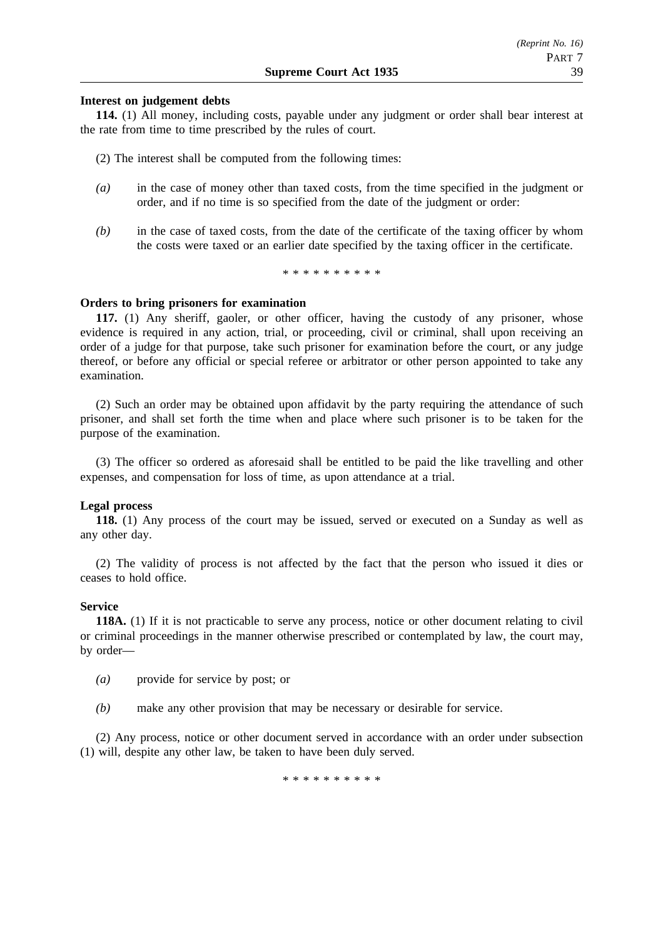### **Interest on judgement debts**

**114.** (1) All money, including costs, payable under any judgment or order shall bear interest at the rate from time to time prescribed by the rules of court.

(2) The interest shall be computed from the following times:

- *(a)* in the case of money other than taxed costs, from the time specified in the judgment or order, and if no time is so specified from the date of the judgment or order:
- *(b)* in the case of taxed costs, from the date of the certificate of the taxing officer by whom the costs were taxed or an earlier date specified by the taxing officer in the certificate.

\*\*\*\*\*\*\*\*\*\*

#### **Orders to bring prisoners for examination**

**117.** (1) Any sheriff, gaoler, or other officer, having the custody of any prisoner, whose evidence is required in any action, trial, or proceeding, civil or criminal, shall upon receiving an order of a judge for that purpose, take such prisoner for examination before the court, or any judge thereof, or before any official or special referee or arbitrator or other person appointed to take any examination.

(2) Such an order may be obtained upon affidavit by the party requiring the attendance of such prisoner, and shall set forth the time when and place where such prisoner is to be taken for the purpose of the examination.

(3) The officer so ordered as aforesaid shall be entitled to be paid the like travelling and other expenses, and compensation for loss of time, as upon attendance at a trial.

#### **Legal process**

**118.** (1) Any process of the court may be issued, served or executed on a Sunday as well as any other day.

(2) The validity of process is not affected by the fact that the person who issued it dies or ceases to hold office.

#### **Service**

**118A.** (1) If it is not practicable to serve any process, notice or other document relating to civil or criminal proceedings in the manner otherwise prescribed or contemplated by law, the court may, by order—

- *(a)* provide for service by post; or
- *(b)* make any other provision that may be necessary or desirable for service.

(2) Any process, notice or other document served in accordance with an order under subsection (1) will, despite any other law, be taken to have been duly served.

\*\*\*\*\*\*\*\*\*\*\*\*\*\*\*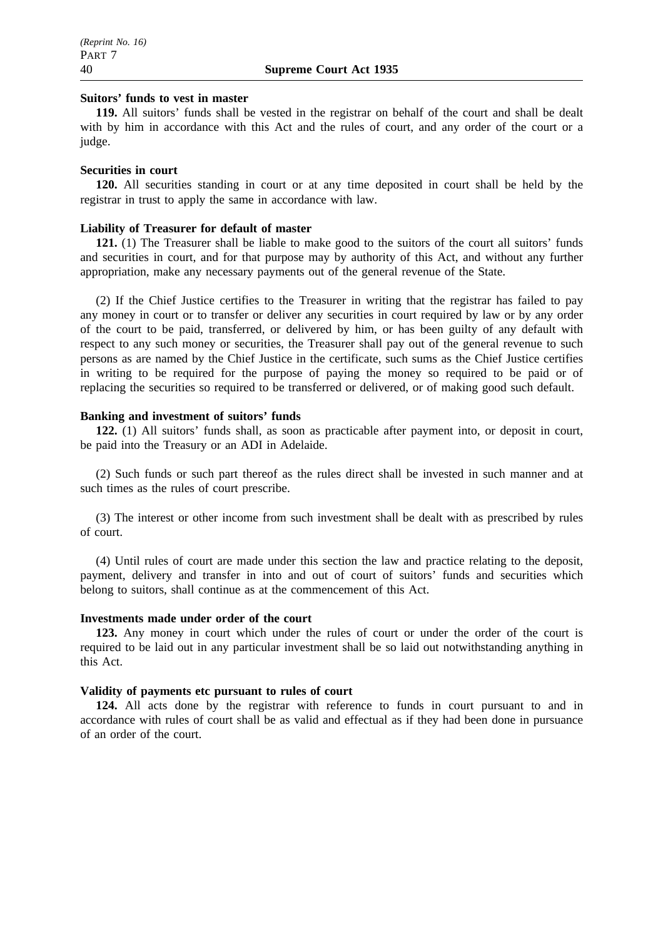### **Suitors' funds to vest in master**

**119.** All suitors' funds shall be vested in the registrar on behalf of the court and shall be dealt with by him in accordance with this Act and the rules of court, and any order of the court or a judge.

#### **Securities in court**

**120.** All securities standing in court or at any time deposited in court shall be held by the registrar in trust to apply the same in accordance with law.

#### **Liability of Treasurer for default of master**

121. (1) The Treasurer shall be liable to make good to the suitors of the court all suitors' funds and securities in court, and for that purpose may by authority of this Act, and without any further appropriation, make any necessary payments out of the general revenue of the State.

(2) If the Chief Justice certifies to the Treasurer in writing that the registrar has failed to pay any money in court or to transfer or deliver any securities in court required by law or by any order of the court to be paid, transferred, or delivered by him, or has been guilty of any default with respect to any such money or securities, the Treasurer shall pay out of the general revenue to such persons as are named by the Chief Justice in the certificate, such sums as the Chief Justice certifies in writing to be required for the purpose of paying the money so required to be paid or of replacing the securities so required to be transferred or delivered, or of making good such default.

#### **Banking and investment of suitors' funds**

**122.** (1) All suitors' funds shall, as soon as practicable after payment into, or deposit in court, be paid into the Treasury or an ADI in Adelaide.

(2) Such funds or such part thereof as the rules direct shall be invested in such manner and at such times as the rules of court prescribe.

(3) The interest or other income from such investment shall be dealt with as prescribed by rules of court.

(4) Until rules of court are made under this section the law and practice relating to the deposit, payment, delivery and transfer in into and out of court of suitors' funds and securities which belong to suitors, shall continue as at the commencement of this Act.

#### **Investments made under order of the court**

**123.** Any money in court which under the rules of court or under the order of the court is required to be laid out in any particular investment shall be so laid out notwithstanding anything in this Act.

#### **Validity of payments etc pursuant to rules of court**

**124.** All acts done by the registrar with reference to funds in court pursuant to and in accordance with rules of court shall be as valid and effectual as if they had been done in pursuance of an order of the court.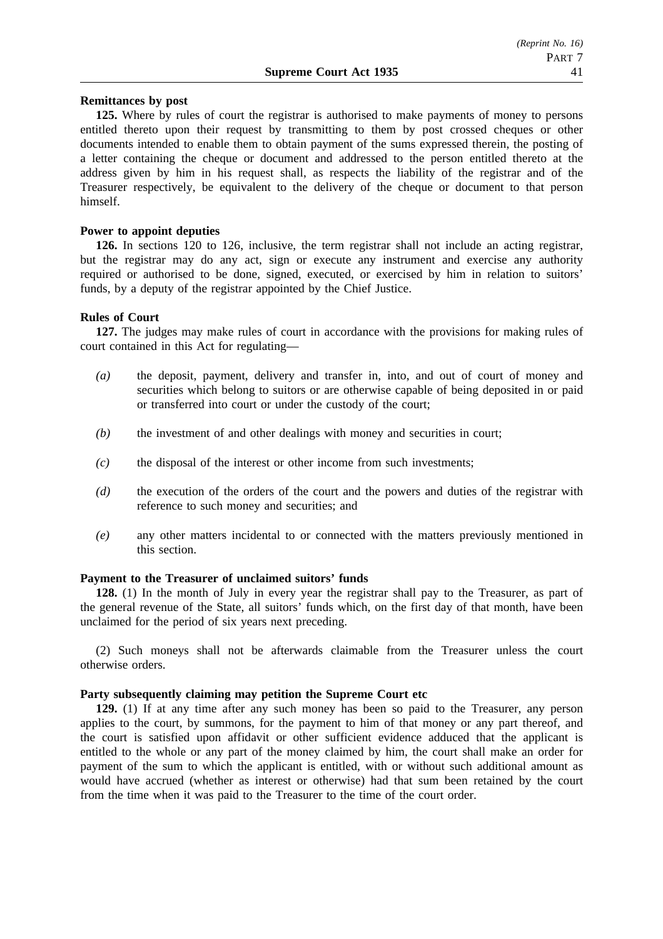### **Remittances by post**

**125.** Where by rules of court the registrar is authorised to make payments of money to persons entitled thereto upon their request by transmitting to them by post crossed cheques or other documents intended to enable them to obtain payment of the sums expressed therein, the posting of a letter containing the cheque or document and addressed to the person entitled thereto at the address given by him in his request shall, as respects the liability of the registrar and of the Treasurer respectively, be equivalent to the delivery of the cheque or document to that person himself.

#### **Power to appoint deputies**

**126.** In sections 120 to 126, inclusive, the term registrar shall not include an acting registrar, but the registrar may do any act, sign or execute any instrument and exercise any authority required or authorised to be done, signed, executed, or exercised by him in relation to suitors' funds, by a deputy of the registrar appointed by the Chief Justice.

#### **Rules of Court**

**127.** The judges may make rules of court in accordance with the provisions for making rules of court contained in this Act for regulating—

- *(a)* the deposit, payment, delivery and transfer in, into, and out of court of money and securities which belong to suitors or are otherwise capable of being deposited in or paid or transferred into court or under the custody of the court;
- *(b)* the investment of and other dealings with money and securities in court;
- *(c)* the disposal of the interest or other income from such investments;
- *(d)* the execution of the orders of the court and the powers and duties of the registrar with reference to such money and securities; and
- *(e)* any other matters incidental to or connected with the matters previously mentioned in this section.

#### **Payment to the Treasurer of unclaimed suitors' funds**

**128.** (1) In the month of July in every year the registrar shall pay to the Treasurer, as part of the general revenue of the State, all suitors' funds which, on the first day of that month, have been unclaimed for the period of six years next preceding.

(2) Such moneys shall not be afterwards claimable from the Treasurer unless the court otherwise orders.

### **Party subsequently claiming may petition the Supreme Court etc**

**129.** (1) If at any time after any such money has been so paid to the Treasurer, any person applies to the court, by summons, for the payment to him of that money or any part thereof, and the court is satisfied upon affidavit or other sufficient evidence adduced that the applicant is entitled to the whole or any part of the money claimed by him, the court shall make an order for payment of the sum to which the applicant is entitled, with or without such additional amount as would have accrued (whether as interest or otherwise) had that sum been retained by the court from the time when it was paid to the Treasurer to the time of the court order.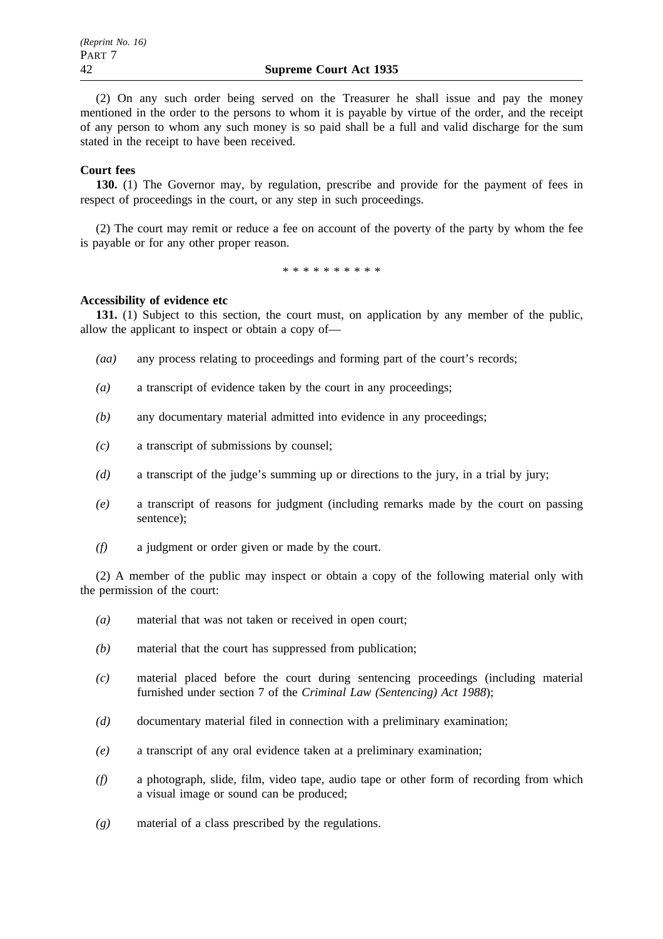(2) On any such order being served on the Treasurer he shall issue and pay the money mentioned in the order to the persons to whom it is payable by virtue of the order, and the receipt of any person to whom any such money is so paid shall be a full and valid discharge for the sum stated in the receipt to have been received.

### **Court fees**

**130.** (1) The Governor may, by regulation, prescribe and provide for the payment of fees in respect of proceedings in the court, or any step in such proceedings.

(2) The court may remit or reduce a fee on account of the poverty of the party by whom the fee is payable or for any other proper reason.

\*\*\*\*\*\*\*\*\*\*

### **Accessibility of evidence etc**

**131.** (1) Subject to this section, the court must, on application by any member of the public, allow the applicant to inspect or obtain a copy of—

- *(aa)* any process relating to proceedings and forming part of the court's records;
- *(a)* a transcript of evidence taken by the court in any proceedings;
- *(b)* any documentary material admitted into evidence in any proceedings;
- *(c)* a transcript of submissions by counsel;
- *(d)* a transcript of the judge's summing up or directions to the jury, in a trial by jury;
- *(e)* a transcript of reasons for judgment (including remarks made by the court on passing sentence);
- *(f)* a judgment or order given or made by the court.

(2) A member of the public may inspect or obtain a copy of the following material only with the permission of the court:

- *(a)* material that was not taken or received in open court;
- *(b)* material that the court has suppressed from publication;
- *(c)* material placed before the court during sentencing proceedings (including material furnished under section 7 of the *Criminal Law (Sentencing) Act 1988*);
- *(d)* documentary material filed in connection with a preliminary examination;
- *(e)* a transcript of any oral evidence taken at a preliminary examination;
- *(f)* a photograph, slide, film, video tape, audio tape or other form of recording from which a visual image or sound can be produced;
- *(g)* material of a class prescribed by the regulations.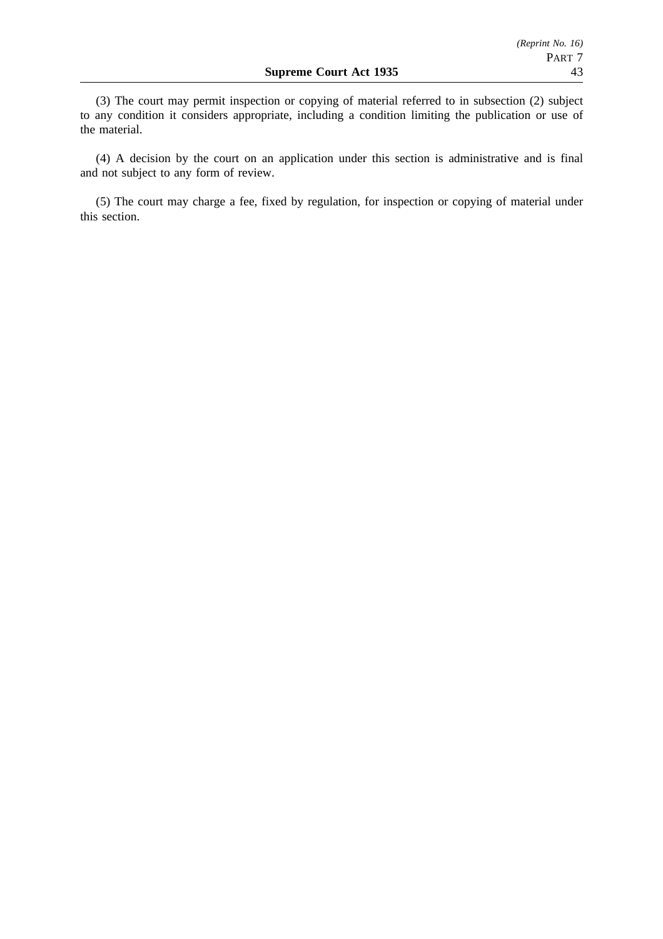(3) The court may permit inspection or copying of material referred to in subsection (2) subject to any condition it considers appropriate, including a condition limiting the publication or use of the material.

(4) A decision by the court on an application under this section is administrative and is final and not subject to any form of review.

(5) The court may charge a fee, fixed by regulation, for inspection or copying of material under this section.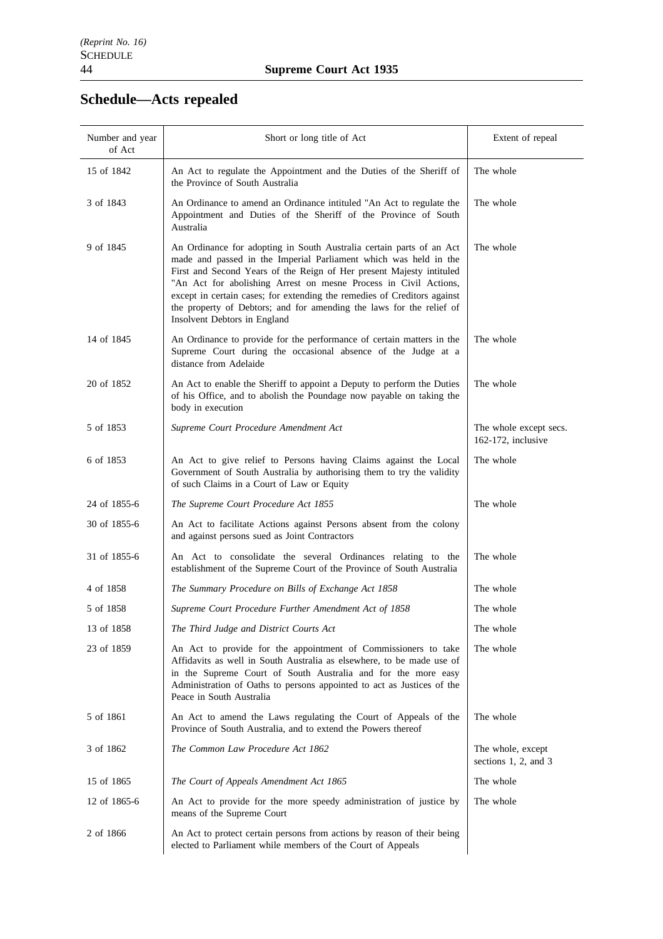# **Schedule—Acts repealed**

| Number and year<br>of Act | Short or long title of Act                                                                                                                                                                                                                                                                                                                                                                                                                                               | Extent of repeal                             |
|---------------------------|--------------------------------------------------------------------------------------------------------------------------------------------------------------------------------------------------------------------------------------------------------------------------------------------------------------------------------------------------------------------------------------------------------------------------------------------------------------------------|----------------------------------------------|
| 15 of 1842                | An Act to regulate the Appointment and the Duties of the Sheriff of<br>the Province of South Australia                                                                                                                                                                                                                                                                                                                                                                   | The whole                                    |
| 3 of 1843                 | An Ordinance to amend an Ordinance intituled "An Act to regulate the<br>Appointment and Duties of the Sheriff of the Province of South<br>Australia                                                                                                                                                                                                                                                                                                                      | The whole                                    |
| 9 of 1845                 | An Ordinance for adopting in South Australia certain parts of an Act<br>made and passed in the Imperial Parliament which was held in the<br>First and Second Years of the Reign of Her present Majesty intituled<br>"An Act for abolishing Arrest on mesne Process in Civil Actions,<br>except in certain cases; for extending the remedies of Creditors against<br>the property of Debtors; and for amending the laws for the relief of<br>Insolvent Debtors in England | The whole                                    |
| 14 of 1845                | An Ordinance to provide for the performance of certain matters in the<br>Supreme Court during the occasional absence of the Judge at a<br>distance from Adelaide                                                                                                                                                                                                                                                                                                         | The whole                                    |
| 20 of 1852                | An Act to enable the Sheriff to appoint a Deputy to perform the Duties<br>of his Office, and to abolish the Poundage now payable on taking the<br>body in execution                                                                                                                                                                                                                                                                                                      | The whole                                    |
| 5 of 1853                 | Supreme Court Procedure Amendment Act                                                                                                                                                                                                                                                                                                                                                                                                                                    | The whole except secs.<br>162-172, inclusive |
| 6 of 1853                 | An Act to give relief to Persons having Claims against the Local<br>Government of South Australia by authorising them to try the validity<br>of such Claims in a Court of Law or Equity                                                                                                                                                                                                                                                                                  | The whole                                    |
| 24 of 1855-6              | The Supreme Court Procedure Act 1855                                                                                                                                                                                                                                                                                                                                                                                                                                     | The whole                                    |
| 30 of 1855-6              | An Act to facilitate Actions against Persons absent from the colony<br>and against persons sued as Joint Contractors                                                                                                                                                                                                                                                                                                                                                     |                                              |
| 31 of 1855-6              | An Act to consolidate the several Ordinances relating to the<br>establishment of the Supreme Court of the Province of South Australia                                                                                                                                                                                                                                                                                                                                    | The whole                                    |
| 4 of 1858                 | The Summary Procedure on Bills of Exchange Act 1858                                                                                                                                                                                                                                                                                                                                                                                                                      | The whole                                    |
| 5 of 1858                 | Supreme Court Procedure Further Amendment Act of 1858                                                                                                                                                                                                                                                                                                                                                                                                                    | The whole                                    |
| 13 of 1858                | The Third Judge and District Courts Act                                                                                                                                                                                                                                                                                                                                                                                                                                  | The whole                                    |
| 23 of 1859                | An Act to provide for the appointment of Commissioners to take<br>Affidavits as well in South Australia as elsewhere, to be made use of<br>in the Supreme Court of South Australia and for the more easy<br>Administration of Oaths to persons appointed to act as Justices of the<br>Peace in South Australia                                                                                                                                                           | The whole                                    |
| 5 of 1861                 | An Act to amend the Laws regulating the Court of Appeals of the<br>Province of South Australia, and to extend the Powers thereof                                                                                                                                                                                                                                                                                                                                         | The whole                                    |
| 3 of 1862                 | The Common Law Procedure Act 1862                                                                                                                                                                                                                                                                                                                                                                                                                                        | The whole, except<br>sections 1, 2, and 3    |
| 15 of 1865                | The Court of Appeals Amendment Act 1865                                                                                                                                                                                                                                                                                                                                                                                                                                  | The whole                                    |
| 12 of 1865-6              | An Act to provide for the more speedy administration of justice by<br>means of the Supreme Court                                                                                                                                                                                                                                                                                                                                                                         | The whole                                    |
| 2 of 1866                 | An Act to protect certain persons from actions by reason of their being<br>elected to Parliament while members of the Court of Appeals                                                                                                                                                                                                                                                                                                                                   |                                              |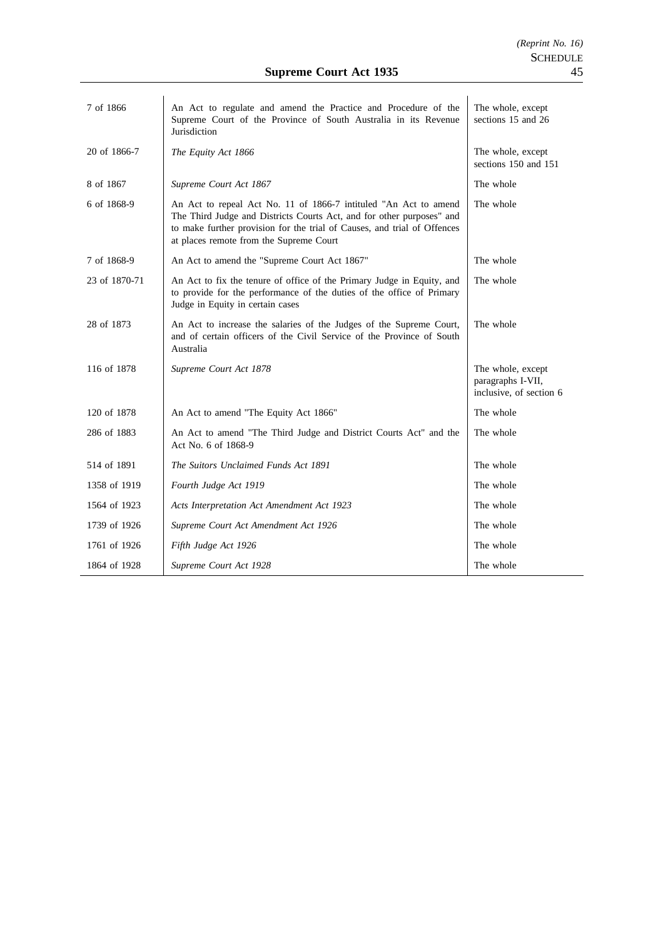| 7 of 1866     | An Act to regulate and amend the Practice and Procedure of the<br>Supreme Court of the Province of South Australia in its Revenue<br>Jurisdiction                                                                                                                | The whole, except<br>sections 15 and 26                           |
|---------------|------------------------------------------------------------------------------------------------------------------------------------------------------------------------------------------------------------------------------------------------------------------|-------------------------------------------------------------------|
| 20 of 1866-7  | The Equity Act 1866                                                                                                                                                                                                                                              | The whole, except<br>sections 150 and 151                         |
| 8 of 1867     | Supreme Court Act 1867                                                                                                                                                                                                                                           | The whole                                                         |
| 6 of 1868-9   | An Act to repeal Act No. 11 of 1866-7 intituled "An Act to amend<br>The Third Judge and Districts Courts Act, and for other purposes" and<br>to make further provision for the trial of Causes, and trial of Offences<br>at places remote from the Supreme Court | The whole                                                         |
| 7 of 1868-9   | An Act to amend the "Supreme Court Act 1867"                                                                                                                                                                                                                     | The whole                                                         |
| 23 of 1870-71 | An Act to fix the tenure of office of the Primary Judge in Equity, and<br>to provide for the performance of the duties of the office of Primary<br>Judge in Equity in certain cases                                                                              | The whole                                                         |
| 28 of 1873    | An Act to increase the salaries of the Judges of the Supreme Court,<br>and of certain officers of the Civil Service of the Province of South<br>Australia                                                                                                        | The whole                                                         |
| 116 of 1878   | Supreme Court Act 1878                                                                                                                                                                                                                                           | The whole, except<br>paragraphs I-VII,<br>inclusive, of section 6 |
| 120 of 1878   | An Act to amend "The Equity Act 1866"                                                                                                                                                                                                                            | The whole                                                         |
| 286 of 1883   | An Act to amend "The Third Judge and District Courts Act" and the<br>Act No. 6 of 1868-9                                                                                                                                                                         | The whole                                                         |
| 514 of 1891   | The Suitors Unclaimed Funds Act 1891                                                                                                                                                                                                                             | The whole                                                         |
| 1358 of 1919  | Fourth Judge Act 1919                                                                                                                                                                                                                                            | The whole                                                         |
| 1564 of 1923  | Acts Interpretation Act Amendment Act 1923                                                                                                                                                                                                                       | The whole                                                         |
| 1739 of 1926  | Supreme Court Act Amendment Act 1926                                                                                                                                                                                                                             | The whole                                                         |
| 1761 of 1926  | Fifth Judge Act 1926                                                                                                                                                                                                                                             | The whole                                                         |
| 1864 of 1928  | Supreme Court Act 1928                                                                                                                                                                                                                                           | The whole                                                         |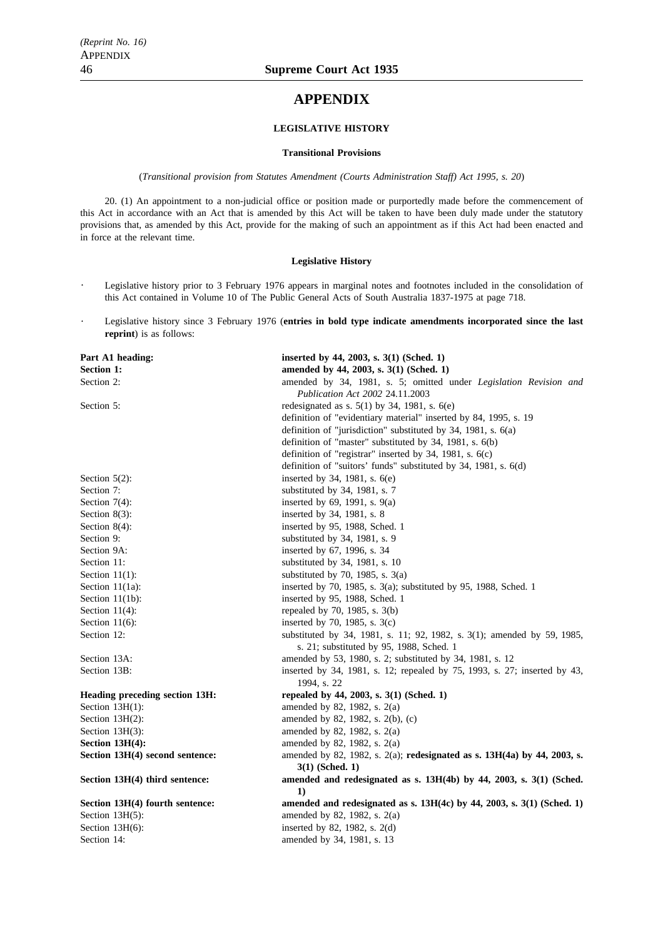# **APPENDIX**

#### **LEGISLATIVE HISTORY**

#### **Transitional Provisions**

(*Transitional provision from Statutes Amendment (Courts Administration Staff) Act 1995, s. 20*)

20. (1) An appointment to a non-judicial office or position made or purportedly made before the commencement of this Act in accordance with an Act that is amended by this Act will be taken to have been duly made under the statutory provisions that, as amended by this Act, provide for the making of such an appointment as if this Act had been enacted and in force at the relevant time.

#### **Legislative History**

- $\ddot{\phantom{0}}$ Legislative history prior to 3 February 1976 appears in marginal notes and footnotes included in the consolidation of this Act contained in Volume 10 of The Public General Acts of South Australia 1837-1975 at page 718.
- Legislative history since 3 February 1976 (**entries in bold type indicate amendments incorporated since the last reprint**) is as follows:

| Part A1 heading:                | inserted by 44, 2003, s. 3(1) (Sched. 1)                                  |
|---------------------------------|---------------------------------------------------------------------------|
| <b>Section 1:</b>               | amended by 44, 2003, s. 3(1) (Sched. 1)                                   |
| Section 2:                      | amended by 34, 1981, s. 5; omitted under Legislation Revision and         |
|                                 | Publication Act 2002 24.11.2003                                           |
| Section 5:                      | redesignated as s. $5(1)$ by 34, 1981, s. $6(e)$                          |
|                                 | definition of "evidentiary material" inserted by 84, 1995, s. 19          |
|                                 | definition of "jurisdiction" substituted by 34, 1981, s. 6(a)             |
|                                 | definition of "master" substituted by 34, 1981, s. 6(b)                   |
|                                 | definition of "registrar" inserted by 34, 1981, s. 6(c)                   |
|                                 | definition of "suitors' funds" substituted by 34, 1981, s. 6(d)           |
| Section $5(2)$ :                | inserted by 34, 1981, s. 6(e)                                             |
| Section 7:                      | substituted by 34, 1981, s. 7                                             |
| Section $7(4)$ :                | inserted by $69$ , 1991, s. $9(a)$                                        |
| Section $8(3)$ :                | inserted by 34, 1981, s. 8                                                |
| Section $8(4)$ :                | inserted by 95, 1988, Sched. 1                                            |
| Section 9:                      | substituted by 34, 1981, s. 9                                             |
| Section 9A:                     | inserted by 67, 1996, s. 34                                               |
| Section 11:                     | substituted by 34, 1981, s. 10                                            |
| Section $11(1)$ :               | substituted by 70, 1985, s. $3(a)$                                        |
| Section $11(1a)$ :              | inserted by 70, 1985, s. $3(a)$ ; substituted by 95, 1988, Sched. 1       |
| Section $11(1b)$ :              | inserted by 95, 1988, Sched. 1                                            |
| Section $11(4)$ :               | repealed by 70, 1985, s. 3(b)                                             |
| Section $11(6)$ :               | inserted by 70, 1985, s. $3(c)$                                           |
| Section 12:                     | substituted by 34, 1981, s. 11; 92, 1982, s. 3(1); amended by 59, 1985,   |
|                                 | s. 21; substituted by 95, 1988, Sched. 1                                  |
| Section 13A:                    | amended by 53, 1980, s. 2; substituted by 34, 1981, s. 12                 |
| Section 13B:                    | inserted by 34, 1981, s. 12; repealed by 75, 1993, s. 27; inserted by 43, |
|                                 | 1994, s. 22                                                               |
| Heading preceding section 13H:  | repealed by 44, 2003, s. 3(1) (Sched. 1)                                  |
| Section $13H(1)$ :              | amended by 82, 1982, s. 2(a)                                              |
| Section $13H(2)$ :              | amended by 82, 1982, s. 2(b), (c)                                         |
| Section $13H(3)$ :              | amended by 82, 1982, s. 2(a)                                              |
| Section $13H(4)$ :              | amended by 82, 1982, s. 2(a)                                              |
| Section 13H(4) second sentence: | amended by 82, 1982, s. 2(a); redesignated as s. 13H(4a) by 44, 2003, s.  |
|                                 | $3(1)$ (Sched. 1)                                                         |
| Section 13H(4) third sentence:  | amended and redesignated as s. 13H(4b) by 44, 2003, s. 3(1) (Sched.<br>1) |
| Section 13H(4) fourth sentence: | amended and redesignated as s. $13H(4c)$ by 44, 2003, s. 3(1) (Sched. 1)  |
| Section $13H(5)$ :              | amended by 82, 1982, s. 2(a)                                              |
| Section $13H(6)$ :              | inserted by 82, 1982, s. 2(d)                                             |
| Section 14:                     | amended by 34, 1981, s. 13                                                |
|                                 |                                                                           |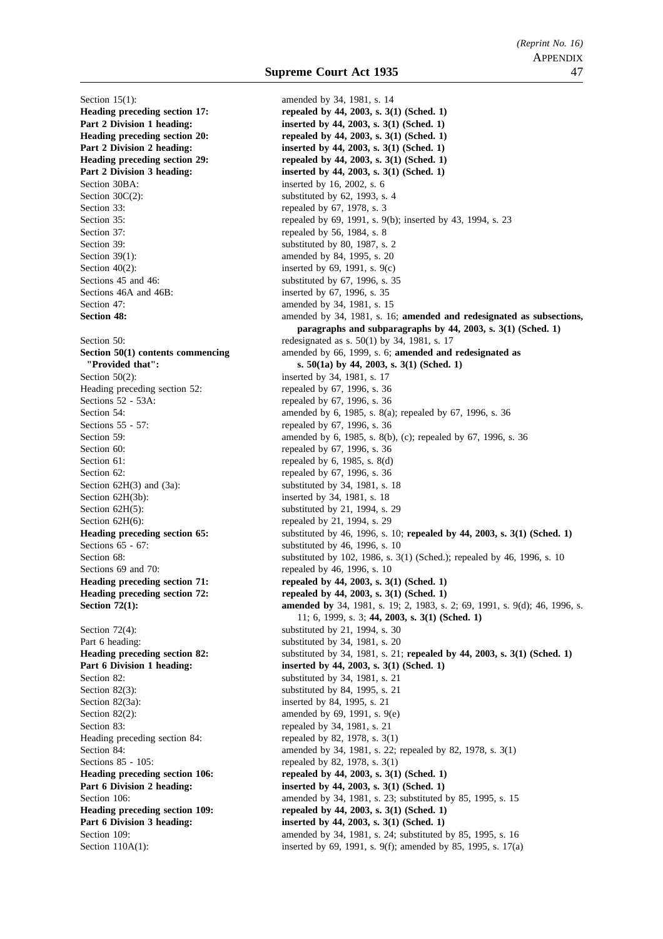Section 15(1): amended by 34, 1981, s. 14 Section 30BA: inserted by 16, 2002, s. 6 Section  $30C(2)$ : substituted by 62, 1993, s. 4 Section 33: repealed by 67, 1978, s. 3 Section 37: repealed by 56, 1984, s. 8 Section 39: Section 39: Substituted by 80, 1987, s. 2 Section 39(1): amended by 84, 1995, s. 20 Section  $40(2)$ : inserted by 69, 1991, s. 9(c) Sections 45 and 46: substituted by 67, 1996, s. 35 Sections 46A and 46B: inserted by 67, 1996, s. 35 Section 47: **amended** by 34, 1981, s. 15 Section 50(2): inserted by 34, 1981, s. 17 Heading preceding section 52: repealed by 67, 1996, s. 36 Sections 52 - 53A: repealed by 67, 1996, s. 36 Sections 55 - 57: repealed by 67, 1996, s. 36 Section 60: repealed by 67, 1996, s. 36 Section 61: repealed by 6, 1985, s. 8(d) Section 62: repealed by 67, 1996, s. 36 Section  $62H(3)$  and  $(3a)$ : substituted by 34, 1981, s. 18 Section 62H(3b): inserted by 34, 1981, s. 18 Section 62H(5): substituted by 21, 1994, s. 29 Section  $62H(6)$ : repealed by 21, 1994, s. 29 Sections 65 - 67: substituted by 46, 1996, s. 10 Sections 69 and 70: repealed by 46, 1996, s. 10 Section  $72(4)$ : substituted by 21, 1994, s. 30 Part 6 heading: substituted by 34, 1981, s. 20 Section 82: substituted by 34, 1981, s. 21 Section 82(3): substituted by 84, 1995, s. 21 Section 82(3a): inserted by 84, 1995, s. 21 Section 82(2): amended by 69, 1991, s.  $9(e)$ Section 83: repealed by 34, 1981, s. 21 Heading preceding section 84: repealed by 82, 1978, s. 3(1) Sections 85 - 105: repealed by 82, 1978, s. 3(1)

**Heading preceding section 17:** repealed by 44, 2003, s. 3(1) (Sched. 1) **Part 2 Division 1 heading:** inserted by 44, 2003, s. 3(1) (Sched. 1) Heading preceding section 20: repealed by 44, 2003, s. 3(1) (Sched. 1) **Part 2 Division 2 heading:** inserted by 44, 2003, s. 3(1) (Sched. 1) **Heading preceding section 29:** repealed by 44, 2003, s. 3(1) (Sched. 1) **Part 2 Division 3 heading:** inserted by 44, 2003, s. 3(1) (Sched. 1) Section 35: repealed by 69, 1991, s. 9(b); inserted by 43, 1994, s. 23 **Section 48:** amended by 34, 1981, s. 16; **amended and redesignated as subsections, paragraphs and subparagraphs by 44, 2003, s. 3(1) (Sched. 1)** Section 50: redesignated as s. 50(1) by 34, 1981, s. 17 **Section 50(1) contents commencing** amended by 66, 1999, s. 6; **amended and redesignated as "Provided that": s. 50(1a) by 44, 2003, s. 3(1) (Sched. 1)** Section 54: **amended** by 6, 1985, s. 8(a); repealed by 67, 1996, s. 36 Section 59: **amended** by 6, 1985, s. 8(b), (c); repealed by 67, 1996, s. 36 **Heading preceding section 65:** substituted by 46, 1996, s. 10; **repealed by 44, 2003, s. 3(1) (Sched. 1)** Section 68: substituted by 102, 1986, s. 3(1) (Sched.); repealed by 46, 1996, s. 10 Heading preceding section 71: repealed by 44, 2003, s. 3(1) (Sched. 1) **Heading preceding section 72:** repealed by 44, 2003, s. 3(1) (Sched. 1) **Section 72(1): amended by** 34, 1981, s. 19; 2, 1983, s. 2; 69, 1991, s. 9(d); 46, 1996, s. 11; 6, 1999, s. 3; **44, 2003, s. 3(1) (Sched. 1) Heading preceding section 82:** substituted by 34, 1981, s. 21; **repealed by 44, 2003, s. 3(1)** (Sched. 1) **Part 6 Division 1 heading:** inserted by 44, 2003, s. 3(1) (Sched. 1) Section 84: **amended** by 34, 1981, s. 22; repealed by 82, 1978, s. 3(1) Heading preceding section 106: repealed by 44, 2003, s. 3(1) (Sched. 1) **Part 6 Division 2 heading: inserted by 44, 2003, s. 3(1) (Sched. 1)** Section 106: **amended** by 34, 1981, s. 23; substituted by 85, 1995, s. 15 Heading preceding section 109: repealed by 44, 2003, s. 3(1) (Sched. 1) **Part 6 Division 3 heading:** inserted by 44, 2003, s. 3(1) (Sched. 1) Section 109: **amended** by 34, 1981, s. 24; substituted by 85, 1995, s. 16 Section 110A(1): inserted by 69, 1991, s. 9(f); amended by 85, 1995, s. 17(a)